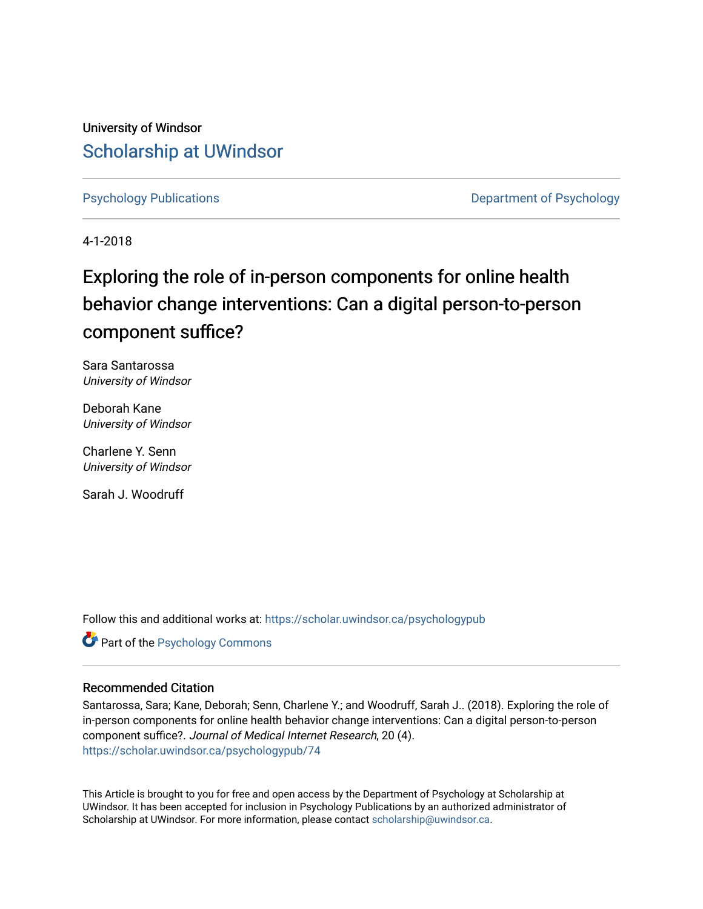University of Windsor [Scholarship at UWindsor](https://scholar.uwindsor.ca/) 

[Psychology Publications](https://scholar.uwindsor.ca/psychologypub) [Department of Psychology](https://scholar.uwindsor.ca/psychology) 

4-1-2018

# Exploring the role of in-person components for online health behavior change interventions: Can a digital person-to-person component suffice?

Sara Santarossa University of Windsor

Deborah Kane University of Windsor

Charlene Y. Senn University of Windsor

Sarah J. Woodruff

Follow this and additional works at: [https://scholar.uwindsor.ca/psychologypub](https://scholar.uwindsor.ca/psychologypub?utm_source=scholar.uwindsor.ca%2Fpsychologypub%2F74&utm_medium=PDF&utm_campaign=PDFCoverPages) 

Part of the [Psychology Commons](http://network.bepress.com/hgg/discipline/404?utm_source=scholar.uwindsor.ca%2Fpsychologypub%2F74&utm_medium=PDF&utm_campaign=PDFCoverPages) 

# Recommended Citation

Santarossa, Sara; Kane, Deborah; Senn, Charlene Y.; and Woodruff, Sarah J.. (2018). Exploring the role of in-person components for online health behavior change interventions: Can a digital person-to-person component suffice?. Journal of Medical Internet Research, 20 (4). [https://scholar.uwindsor.ca/psychologypub/74](https://scholar.uwindsor.ca/psychologypub/74?utm_source=scholar.uwindsor.ca%2Fpsychologypub%2F74&utm_medium=PDF&utm_campaign=PDFCoverPages)

This Article is brought to you for free and open access by the Department of Psychology at Scholarship at UWindsor. It has been accepted for inclusion in Psychology Publications by an authorized administrator of Scholarship at UWindsor. For more information, please contact [scholarship@uwindsor.ca.](mailto:scholarship@uwindsor.ca)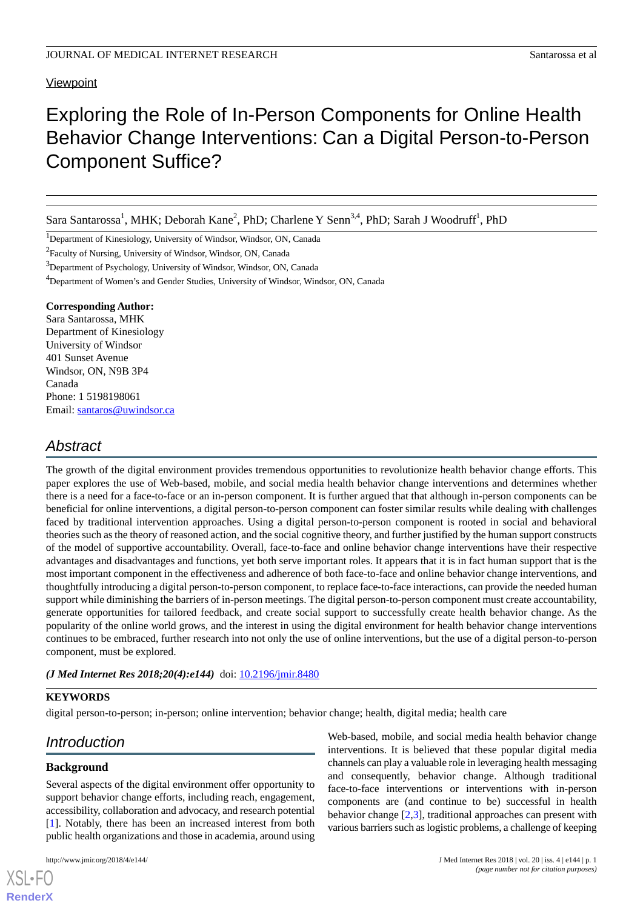# **Viewpoint**

# Exploring the Role of In-Person Components for Online Health Behavior Change Interventions: Can a Digital Person-to-Person Component Suffice?

Sara Santarossa<sup>1</sup>, MHK; Deborah Kane<sup>2</sup>, PhD; Charlene Y Senn<sup>3,4</sup>, PhD; Sarah J Woodruff<sup>1</sup>, PhD

<sup>1</sup>Department of Kinesiology, University of Windsor, Windsor, ON, Canada

<sup>2</sup> Faculty of Nursing, University of Windsor, Windsor, ON, Canada

<sup>3</sup>Department of Psychology, University of Windsor, Windsor, ON, Canada

<sup>4</sup>Department of Women's and Gender Studies, University of Windsor, Windsor, ON, Canada

#### **Corresponding Author:**

Sara Santarossa, MHK Department of Kinesiology University of Windsor 401 Sunset Avenue Windsor, ON, N9B 3P4 Canada Phone: 1 5198198061 Email: [santaros@uwindsor.ca](mailto:santaros@uwindsor.ca)

# *Abstract*

The growth of the digital environment provides tremendous opportunities to revolutionize health behavior change efforts. This paper explores the use of Web-based, mobile, and social media health behavior change interventions and determines whether there is a need for a face-to-face or an in-person component. It is further argued that that although in-person components can be beneficial for online interventions, a digital person-to-person component can foster similar results while dealing with challenges faced by traditional intervention approaches. Using a digital person-to-person component is rooted in social and behavioral theories such as the theory of reasoned action, and the social cognitive theory, and further justified by the human support constructs of the model of supportive accountability. Overall, face-to-face and online behavior change interventions have their respective advantages and disadvantages and functions, yet both serve important roles. It appears that it is in fact human support that is the most important component in the effectiveness and adherence of both face-to-face and online behavior change interventions, and thoughtfully introducing a digital person-to-person component, to replace face-to-face interactions, can provide the needed human support while diminishing the barriers of in-person meetings. The digital person-to-person component must create accountability, generate opportunities for tailored feedback, and create social support to successfully create health behavior change. As the popularity of the online world grows, and the interest in using the digital environment for health behavior change interventions continues to be embraced, further research into not only the use of online interventions, but the use of a digital person-to-person component, must be explored.

#### *(J Med Internet Res 2018;20(4):e144)* doi: [10.2196/jmir.8480](http://dx.doi.org/10.2196/jmir.8480)

#### **KEYWORDS**

digital person-to-person; in-person; online intervention; behavior change; health, digital media; health care

# *Introduction*

# **Background**

[XSL](http://www.w3.org/Style/XSL)•FO **[RenderX](http://www.renderx.com/)**

Several aspects of the digital environment offer opportunity to support behavior change efforts, including reach, engagement, accessibility, collaboration and advocacy, and research potential [[1\]](#page-7-0). Notably, there has been an increased interest from both public health organizations and those in academia, around using

Web-based, mobile, and social media health behavior change interventions. It is believed that these popular digital media channels can play a valuable role in leveraging health messaging and consequently, behavior change. Although traditional face-to-face interventions or interventions with in-person components are (and continue to be) successful in health behavior change [\[2](#page-7-1),[3\]](#page-7-2), traditional approaches can present with various barriers such as logistic problems, a challenge of keeping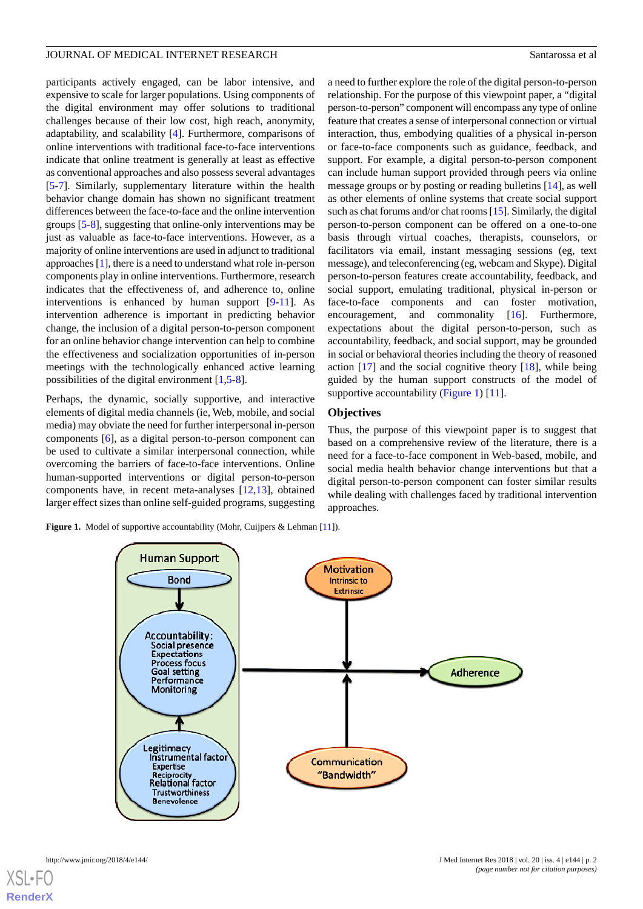participants actively engaged, can be labor intensive, and expensive to scale for larger populations. Using components of the digital environment may offer solutions to traditional challenges because of their low cost, high reach, anonymity, adaptability, and scalability [[4\]](#page-7-3). Furthermore, comparisons of online interventions with traditional face-to-face interventions indicate that online treatment is generally at least as effective as conventional approaches and also possess several advantages [[5](#page-7-4)[-7](#page-8-0)]. Similarly, supplementary literature within the health behavior change domain has shown no significant treatment differences between the face-to-face and the online intervention groups [[5](#page-7-4)-[8\]](#page-8-1), suggesting that online-only interventions may be just as valuable as face-to-face interventions. However, as a majority of online interventions are used in adjunct to traditional approaches [\[1\]](#page-7-0), there is a need to understand what role in-person components play in online interventions. Furthermore, research indicates that the effectiveness of, and adherence to, online interventions is enhanced by human support [\[9](#page-8-2)[-11](#page-8-3)]. As intervention adherence is important in predicting behavior change, the inclusion of a digital person-to-person component for an online behavior change intervention can help to combine the effectiveness and socialization opportunities of in-person meetings with the technologically enhanced active learning possibilities of the digital environment [\[1](#page-7-0),[5](#page-7-4)[-8](#page-8-1)].

Perhaps, the dynamic, socially supportive, and interactive elements of digital media channels (ie, Web, mobile, and social media) may obviate the need for further interpersonal in-person components [\[6](#page-8-4)], as a digital person-to-person component can be used to cultivate a similar interpersonal connection, while overcoming the barriers of face-to-face interventions. Online human-supported interventions or digital person-to-person components have, in recent meta-analyses [[12,](#page-8-5)[13](#page-8-6)], obtained larger effect sizes than online self-guided programs, suggesting

<span id="page-2-0"></span>**Figure 1.** Model of supportive accountability (Mohr, Cuijpers & Lehman [11]).



#### **Objectives**

Thus, the purpose of this viewpoint paper is to suggest that based on a comprehensive review of the literature, there is a need for a face-to-face component in Web-based, mobile, and social media health behavior change interventions but that a digital person-to-person component can foster similar results while dealing with challenges faced by traditional intervention approaches.

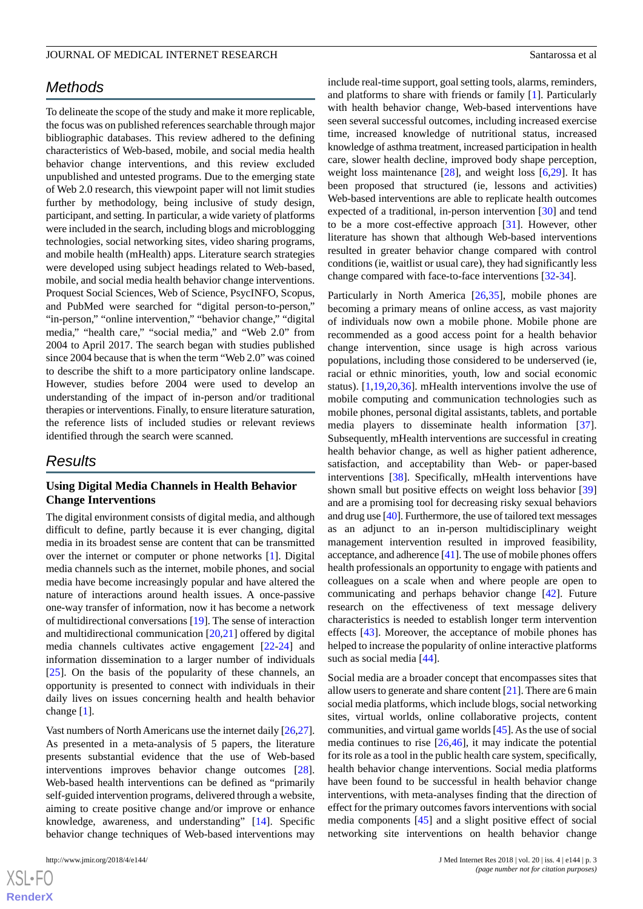# *Methods*

To delineate the scope of the study and make it more replicable, the focus was on published references searchable through major bibliographic databases. This review adhered to the defining characteristics of Web-based, mobile, and social media health behavior change interventions, and this review excluded unpublished and untested programs. Due to the emerging state of Web 2.0 research, this viewpoint paper will not limit studies further by methodology, being inclusive of study design, participant, and setting. In particular, a wide variety of platforms were included in the search, including blogs and microblogging technologies, social networking sites, video sharing programs, and mobile health (mHealth) apps. Literature search strategies were developed using subject headings related to Web-based, mobile, and social media health behavior change interventions. Proquest Social Sciences, Web of Science, PsycINFO, Scopus, and PubMed were searched for "digital person-to-person," "in-person," "online intervention," "behavior change," "digital media," "health care," "social media," and "Web 2.0" from 2004 to April 2017. The search began with studies published since 2004 because that is when the term "Web 2.0" was coined to describe the shift to a more participatory online landscape. However, studies before 2004 were used to develop an understanding of the impact of in-person and/or traditional therapies or interventions. Finally, to ensure literature saturation, the reference lists of included studies or relevant reviews identified through the search were scanned.

# *Results*

#### **Using Digital Media Channels in Health Behavior Change Interventions**

The digital environment consists of digital media, and although difficult to define, partly because it is ever changing, digital media in its broadest sense are content that can be transmitted over the internet or computer or phone networks [[1](#page-7-0)]. Digital media channels such as the internet, mobile phones, and social media have become increasingly popular and have altered the nature of interactions around health issues. A once-passive one-way transfer of information, now it has become a network of multidirectional conversations [\[19](#page-8-12)]. The sense of interaction and multidirectional communication [\[20](#page-8-13)[,21](#page-8-14)] offered by digital media channels cultivates active engagement [[22-](#page-8-15)[24\]](#page-8-16) and information dissemination to a larger number of individuals [[25\]](#page-8-17). On the basis of the popularity of these channels, an opportunity is presented to connect with individuals in their daily lives on issues concerning health and health behavior change [[1\]](#page-7-0).

Vast numbers of North Americans use the internet daily [[26,](#page-8-18)[27\]](#page-8-19). As presented in a meta-analysis of 5 papers, the literature presents substantial evidence that the use of Web-based interventions improves behavior change outcomes [[28\]](#page-8-20). Web-based health interventions can be defined as "primarily self-guided intervention programs, delivered through a website, aiming to create positive change and/or improve or enhance knowledge, awareness, and understanding" [[14\]](#page-8-7). Specific behavior change techniques of Web-based interventions may

include real-time support, goal setting tools, alarms, reminders, and platforms to share with friends or family [\[1](#page-7-0)]. Particularly with health behavior change, Web-based interventions have seen several successful outcomes, including increased exercise time, increased knowledge of nutritional status, increased knowledge of asthma treatment, increased participation in health care, slower health decline, improved body shape perception, weight loss maintenance [\[28](#page-8-20)], and weight loss [[6,](#page-8-4)[29](#page-9-0)]. It has been proposed that structured (ie, lessons and activities) Web-based interventions are able to replicate health outcomes expected of a traditional, in-person intervention [[30\]](#page-9-1) and tend to be a more cost-effective approach [[31\]](#page-9-2). However, other literature has shown that although Web-based interventions resulted in greater behavior change compared with control conditions (ie, waitlist or usual care), they had significantly less change compared with face-to-face interventions [[32-](#page-9-3)[34\]](#page-9-4).

Particularly in North America [[26](#page-8-18)[,35](#page-9-5)], mobile phones are becoming a primary means of online access, as vast majority of individuals now own a mobile phone. Mobile phone are recommended as a good access point for a health behavior change intervention, since usage is high across various populations, including those considered to be underserved (ie, racial or ethnic minorities, youth, low and social economic status). [\[1](#page-7-0),[19](#page-8-12)[,20](#page-8-13),[36\]](#page-9-6). mHealth interventions involve the use of mobile computing and communication technologies such as mobile phones, personal digital assistants, tablets, and portable media players to disseminate health information [[37\]](#page-9-7). Subsequently, mHealth interventions are successful in creating health behavior change, as well as higher patient adherence, satisfaction, and acceptability than Web- or paper-based interventions [[38\]](#page-9-8). Specifically, mHealth interventions have shown small but positive effects on weight loss behavior [\[39](#page-9-9)] and are a promising tool for decreasing risky sexual behaviors and drug use [[40\]](#page-9-10). Furthermore, the use of tailored text messages as an adjunct to an in-person multidisciplinary weight management intervention resulted in improved feasibility, acceptance, and adherence [[41\]](#page-9-11). The use of mobile phones offers health professionals an opportunity to engage with patients and colleagues on a scale when and where people are open to communicating and perhaps behavior change [\[42](#page-9-12)]. Future research on the effectiveness of text message delivery characteristics is needed to establish longer term intervention effects [[43\]](#page-9-13). Moreover, the acceptance of mobile phones has helped to increase the popularity of online interactive platforms such as social media [\[44](#page-9-14)].

Social media are a broader concept that encompasses sites that allow users to generate and share content  $[21]$  $[21]$ . There are 6 main social media platforms, which include blogs, social networking sites, virtual worlds, online collaborative projects, content communities, and virtual game worlds [[45\]](#page-9-15). As the use of social media continues to rise [[26,](#page-8-18)[46](#page-9-16)], it may indicate the potential for its role as a tool in the public health care system, specifically, health behavior change interventions. Social media platforms have been found to be successful in health behavior change interventions, with meta-analyses finding that the direction of effect for the primary outcomes favors interventions with social media components [\[45](#page-9-15)] and a slight positive effect of social networking site interventions on health behavior change

 $XS$ -FO **[RenderX](http://www.renderx.com/)**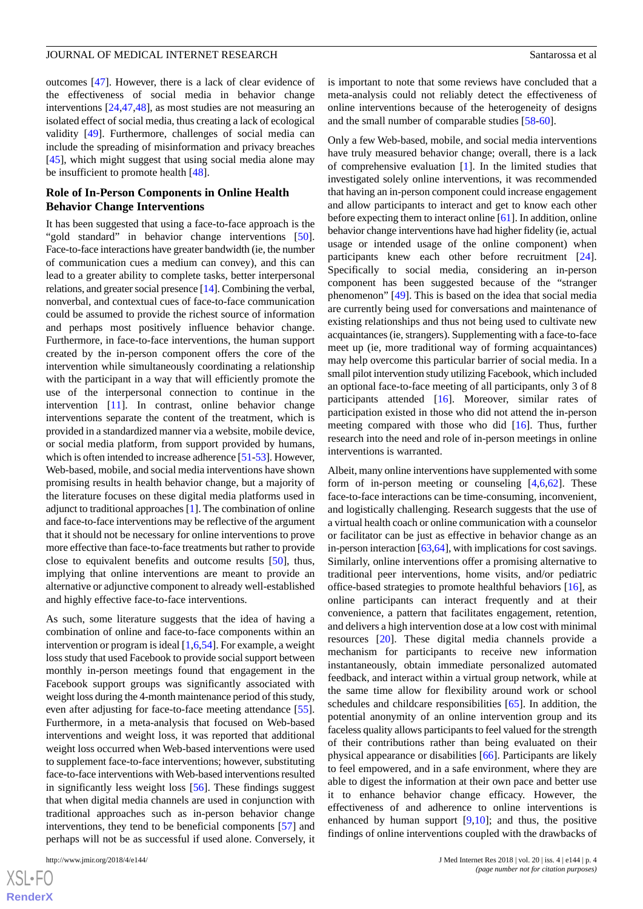outcomes [[47\]](#page-9-17). However, there is a lack of clear evidence of the effectiveness of social media in behavior change interventions [[24,](#page-8-16)[47](#page-9-17),[48\]](#page-9-18), as most studies are not measuring an isolated effect of social media, thus creating a lack of ecological validity [\[49](#page-9-19)]. Furthermore, challenges of social media can include the spreading of misinformation and privacy breaches [[45\]](#page-9-15), which might suggest that using social media alone may be insufficient to promote health [\[48](#page-9-18)].

#### **Role of In-Person Components in Online Health Behavior Change Interventions**

It has been suggested that using a face-to-face approach is the "gold standard" in behavior change interventions [[50\]](#page-9-20). Face-to-face interactions have greater bandwidth (ie, the number of communication cues a medium can convey), and this can lead to a greater ability to complete tasks, better interpersonal relations, and greater social presence [\[14](#page-8-7)]. Combining the verbal, nonverbal, and contextual cues of face-to-face communication could be assumed to provide the richest source of information and perhaps most positively influence behavior change. Furthermore, in face-to-face interventions, the human support created by the in-person component offers the core of the intervention while simultaneously coordinating a relationship with the participant in a way that will efficiently promote the use of the interpersonal connection to continue in the intervention [[11\]](#page-8-3). In contrast, online behavior change interventions separate the content of the treatment, which is provided in a standardized manner via a website, mobile device, or social media platform, from support provided by humans, which is often intended to increase adherence [[51](#page-9-21)-[53](#page-10-0)]. However, Web-based, mobile, and social media interventions have shown promising results in health behavior change, but a majority of the literature focuses on these digital media platforms used in adjunct to traditional approaches [[1](#page-7-0)]. The combination of online and face-to-face interventions may be reflective of the argument that it should not be necessary for online interventions to prove more effective than face-to-face treatments but rather to provide close to equivalent benefits and outcome results [\[50](#page-9-20)], thus, implying that online interventions are meant to provide an alternative or adjunctive component to already well-established and highly effective face-to-face interventions.

As such, some literature suggests that the idea of having a combination of online and face-to-face components within an intervention or program is ideal [[1,](#page-7-0)[6](#page-8-4),[54\]](#page-10-1). For example, a weight loss study that used Facebook to provide social support between monthly in-person meetings found that engagement in the Facebook support groups was significantly associated with weight loss during the 4-month maintenance period of this study, even after adjusting for face-to-face meeting attendance [[55\]](#page-10-2). Furthermore, in a meta-analysis that focused on Web-based interventions and weight loss, it was reported that additional weight loss occurred when Web-based interventions were used to supplement face-to-face interventions; however, substituting face-to-face interventions with Web-based interventions resulted in significantly less weight loss [[56\]](#page-10-3). These findings suggest that when digital media channels are used in conjunction with traditional approaches such as in-person behavior change interventions, they tend to be beneficial components [[57\]](#page-10-4) and perhaps will not be as successful if used alone. Conversely, it

[XSL](http://www.w3.org/Style/XSL)•FO **[RenderX](http://www.renderx.com/)** is important to note that some reviews have concluded that a meta-analysis could not reliably detect the effectiveness of online interventions because of the heterogeneity of designs and the small number of comparable studies [\[58](#page-10-5)[-60](#page-10-6)].

Only a few Web-based, mobile, and social media interventions have truly measured behavior change; overall, there is a lack of comprehensive evaluation [\[1](#page-7-0)]. In the limited studies that investigated solely online interventions, it was recommended that having an in-person component could increase engagement and allow participants to interact and get to know each other before expecting them to interact online [[61\]](#page-10-7). In addition, online behavior change interventions have had higher fidelity (ie, actual usage or intended usage of the online component) when participants knew each other before recruitment [[24\]](#page-8-16). Specifically to social media, considering an in-person component has been suggested because of the "stranger phenomenon" [[49\]](#page-9-19). This is based on the idea that social media are currently being used for conversations and maintenance of existing relationships and thus not being used to cultivate new acquaintances (ie, strangers). Supplementing with a face-to-face meet up (ie, more traditional way of forming acquaintances) may help overcome this particular barrier of social media. In a small pilot intervention study utilizing Facebook, which included an optional face-to-face meeting of all participants, only 3 of 8 participants attended [\[16](#page-8-9)]. Moreover, similar rates of participation existed in those who did not attend the in-person meeting compared with those who did [\[16](#page-8-9)]. Thus, further research into the need and role of in-person meetings in online interventions is warranted.

Albeit, many online interventions have supplemented with some form of in-person meeting or counseling  $[4,6,62]$  $[4,6,62]$  $[4,6,62]$  $[4,6,62]$  $[4,6,62]$ . These face-to-face interactions can be time-consuming, inconvenient, and logistically challenging. Research suggests that the use of a virtual health coach or online communication with a counselor or facilitator can be just as effective in behavior change as an in-person interaction [\[63](#page-10-9)[,64](#page-10-10)], with implications for cost savings. Similarly, online interventions offer a promising alternative to traditional peer interventions, home visits, and/or pediatric office-based strategies to promote healthful behaviors [[16\]](#page-8-9), as online participants can interact frequently and at their convenience, a pattern that facilitates engagement, retention, and delivers a high intervention dose at a low cost with minimal resources [[20\]](#page-8-13). These digital media channels provide a mechanism for participants to receive new information instantaneously, obtain immediate personalized automated feedback, and interact within a virtual group network, while at the same time allow for flexibility around work or school schedules and childcare responsibilities [[65\]](#page-10-11). In addition, the potential anonymity of an online intervention group and its faceless quality allows participants to feel valued for the strength of their contributions rather than being evaluated on their physical appearance or disabilities [\[66](#page-10-12)]. Participants are likely to feel empowered, and in a safe environment, where they are able to digest the information at their own pace and better use it to enhance behavior change efficacy. However, the effectiveness of and adherence to online interventions is enhanced by human support  $[9,10]$  $[9,10]$  $[9,10]$ ; and thus, the positive findings of online interventions coupled with the drawbacks of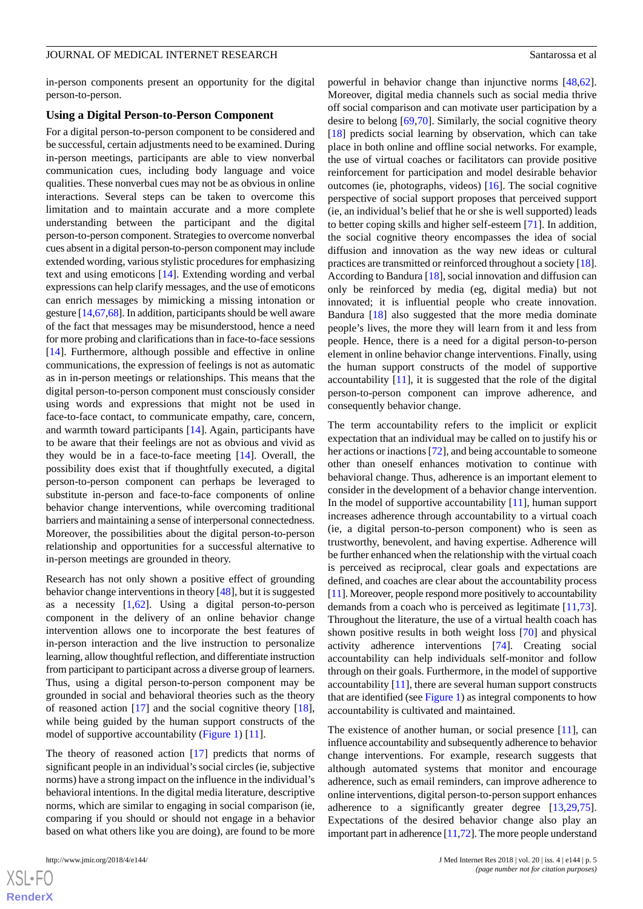in-person components present an opportunity for the digital person-to-person.

#### **Using a Digital Person-to-Person Component**

For a digital person-to-person component to be considered and be successful, certain adjustments need to be examined. During in-person meetings, participants are able to view nonverbal communication cues, including body language and voice qualities. These nonverbal cues may not be as obvious in online interactions. Several steps can be taken to overcome this limitation and to maintain accurate and a more complete understanding between the participant and the digital person-to-person component. Strategies to overcome nonverbal cues absent in a digital person-to-person component may include extended wording, various stylistic procedures for emphasizing text and using emoticons [\[14](#page-8-7)]. Extending wording and verbal expressions can help clarify messages, and the use of emoticons can enrich messages by mimicking a missing intonation or gesture [[14,](#page-8-7)[67,](#page-10-13)[68\]](#page-10-14). In addition, participants should be well aware of the fact that messages may be misunderstood, hence a need for more probing and clarifications than in face-to-face sessions [[14\]](#page-8-7). Furthermore, although possible and effective in online communications, the expression of feelings is not as automatic as in in-person meetings or relationships. This means that the digital person-to-person component must consciously consider using words and expressions that might not be used in face-to-face contact, to communicate empathy, care, concern, and warmth toward participants [[14\]](#page-8-7). Again, participants have to be aware that their feelings are not as obvious and vivid as they would be in a face-to-face meeting [[14\]](#page-8-7). Overall, the possibility does exist that if thoughtfully executed, a digital person-to-person component can perhaps be leveraged to substitute in-person and face-to-face components of online behavior change interventions, while overcoming traditional barriers and maintaining a sense of interpersonal connectedness. Moreover, the possibilities about the digital person-to-person relationship and opportunities for a successful alternative to in-person meetings are grounded in theory.

Research has not only shown a positive effect of grounding behavior change interventions in theory [[48\]](#page-9-18), but it is suggested as a necessity  $[1,62]$  $[1,62]$  $[1,62]$ . Using a digital person-to-person component in the delivery of an online behavior change intervention allows one to incorporate the best features of in-person interaction and the live instruction to personalize learning, allow thoughtful reflection, and differentiate instruction from participant to participant across a diverse group of learners. Thus, using a digital person-to-person component may be grounded in social and behavioral theories such as the theory of reasoned action [\[17](#page-8-10)] and the social cognitive theory [[18\]](#page-8-11), while being guided by the human support constructs of the model of supportive accountability ([Figure 1](#page-2-0)) [\[11](#page-8-3)].

The theory of reasoned action [\[17](#page-8-10)] predicts that norms of significant people in an individual's social circles (ie, subjective norms) have a strong impact on the influence in the individual's behavioral intentions. In the digital media literature, descriptive norms, which are similar to engaging in social comparison (ie, comparing if you should or should not engage in a behavior based on what others like you are doing), are found to be more

powerful in behavior change than injunctive norms [\[48](#page-9-18),[62\]](#page-10-8). Moreover, digital media channels such as social media thrive off social comparison and can motivate user participation by a desire to belong [[69](#page-10-15)[,70](#page-10-16)]. Similarly, the social cognitive theory [[18\]](#page-8-11) predicts social learning by observation, which can take place in both online and offline social networks. For example, the use of virtual coaches or facilitators can provide positive reinforcement for participation and model desirable behavior outcomes (ie, photographs, videos) [\[16](#page-8-9)]. The social cognitive perspective of social support proposes that perceived support (ie, an individual's belief that he or she is well supported) leads to better coping skills and higher self-esteem [\[71](#page-10-17)]. In addition, the social cognitive theory encompasses the idea of social diffusion and innovation as the way new ideas or cultural practices are transmitted or reinforced throughout a society [\[18](#page-8-11)]. According to Bandura [[18\]](#page-8-11), social innovation and diffusion can only be reinforced by media (eg, digital media) but not innovated; it is influential people who create innovation. Bandura [\[18](#page-8-11)] also suggested that the more media dominate people's lives, the more they will learn from it and less from people. Hence, there is a need for a digital person-to-person element in online behavior change interventions. Finally, using the human support constructs of the model of supportive accountability [[11\]](#page-8-3), it is suggested that the role of the digital person-to-person component can improve adherence, and consequently behavior change.

The term accountability refers to the implicit or explicit expectation that an individual may be called on to justify his or her actions or inactions [[72\]](#page-10-18), and being accountable to some one other than oneself enhances motivation to continue with behavioral change. Thus, adherence is an important element to consider in the development of a behavior change intervention. In the model of supportive accountability  $[11]$  $[11]$ , human support increases adherence through accountability to a virtual coach (ie, a digital person-to-person component) who is seen as trustworthy, benevolent, and having expertise. Adherence will be further enhanced when the relationship with the virtual coach is perceived as reciprocal, clear goals and expectations are defined, and coaches are clear about the accountability process [[11\]](#page-8-3). Moreover, people respond more positively to accountability demands from a coach who is perceived as legitimate [\[11](#page-8-3),[73\]](#page-10-19). Throughout the literature, the use of a virtual health coach has shown positive results in both weight loss [\[70](#page-10-16)] and physical activity adherence interventions [\[74](#page-10-20)]. Creating social accountability can help individuals self-monitor and follow through on their goals. Furthermore, in the model of supportive accountability [[11\]](#page-8-3), there are several human support constructs that are identified (see [Figure 1\)](#page-2-0) as integral components to how accountability is cultivated and maintained.

The existence of another human, or social presence [[11\]](#page-8-3), can influence accountability and subsequently adherence to behavior change interventions. For example, research suggests that although automated systems that monitor and encourage adherence, such as email reminders, can improve adherence to online interventions, digital person-to-person support enhances adherence to a significantly greater degree [[13](#page-8-6)[,29](#page-9-0),[75\]](#page-11-0). Expectations of the desired behavior change also play an important part in adherence [\[11](#page-8-3)[,72\]](#page-10-18). The more people understand

 $XS$ -FO **[RenderX](http://www.renderx.com/)**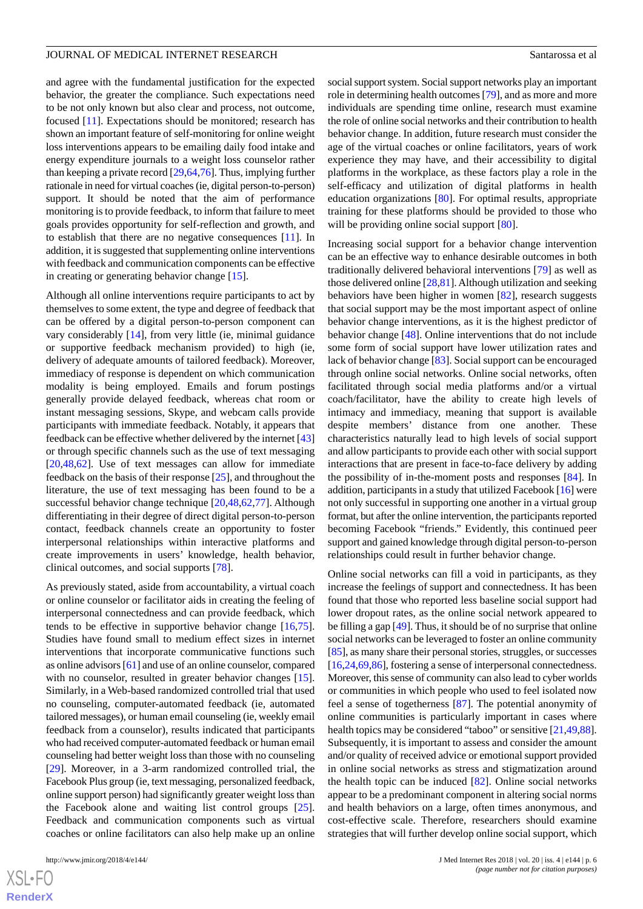and agree with the fundamental justification for the expected behavior, the greater the compliance. Such expectations need to be not only known but also clear and process, not outcome, focused [[11\]](#page-8-3). Expectations should be monitored; research has shown an important feature of self-monitoring for online weight loss interventions appears to be emailing daily food intake and energy expenditure journals to a weight loss counselor rather than keeping a private record [[29](#page-9-0),[64](#page-10-10)[,76](#page-11-1)]. Thus, implying further rationale in need for virtual coaches (ie, digital person-to-person) support. It should be noted that the aim of performance monitoring is to provide feedback, to inform that failure to meet goals provides opportunity for self-reflection and growth, and to establish that there are no negative consequences [[11\]](#page-8-3). In addition, it is suggested that supplementing online interventions with feedback and communication components can be effective in creating or generating behavior change [\[15](#page-8-8)].

Although all online interventions require participants to act by themselves to some extent, the type and degree of feedback that can be offered by a digital person-to-person component can vary considerably [\[14](#page-8-7)], from very little (ie, minimal guidance or supportive feedback mechanism provided) to high (ie, delivery of adequate amounts of tailored feedback). Moreover, immediacy of response is dependent on which communication modality is being employed. Emails and forum postings generally provide delayed feedback, whereas chat room or instant messaging sessions, Skype, and webcam calls provide participants with immediate feedback. Notably, it appears that feedback can be effective whether delivered by the internet [\[43](#page-9-13)] or through specific channels such as the use of text messaging [[20](#page-8-13)[,48](#page-9-18),[62\]](#page-10-8). Use of text messages can allow for immediate feedback on the basis of their response [\[25](#page-8-17)], and throughout the literature, the use of text messaging has been found to be a successful behavior change technique [[20,](#page-8-13)[48](#page-9-18),[62,](#page-10-8)[77](#page-11-2)]. Although differentiating in their degree of direct digital person-to-person contact, feedback channels create an opportunity to foster interpersonal relationships within interactive platforms and create improvements in users' knowledge, health behavior, clinical outcomes, and social supports [\[78](#page-11-3)].

As previously stated, aside from accountability, a virtual coach or online counselor or facilitator aids in creating the feeling of interpersonal connectedness and can provide feedback, which tends to be effective in supportive behavior change [\[16](#page-8-9),[75\]](#page-11-0). Studies have found small to medium effect sizes in internet interventions that incorporate communicative functions such as online advisors [[61\]](#page-10-7) and use of an online counselor, compared with no counselor, resulted in greater behavior changes [[15\]](#page-8-8). Similarly, in a Web-based randomized controlled trial that used no counseling, computer-automated feedback (ie, automated tailored messages), or human email counseling (ie, weekly email feedback from a counselor), results indicated that participants who had received computer-automated feedback or human email counseling had better weight loss than those with no counseling [[29\]](#page-9-0). Moreover, in a 3-arm randomized controlled trial, the Facebook Plus group (ie, text messaging, personalized feedback, online support person) had significantly greater weight loss than the Facebook alone and waiting list control groups [[25\]](#page-8-17). Feedback and communication components such as virtual coaches or online facilitators can also help make up an online

 $XS$ -FO **[RenderX](http://www.renderx.com/)** social support system. Social support networks play an important role in determining health outcomes [[79\]](#page-11-4), and as more and more individuals are spending time online, research must examine the role of online social networks and their contribution to health behavior change. In addition, future research must consider the age of the virtual coaches or online facilitators, years of work experience they may have, and their accessibility to digital platforms in the workplace, as these factors play a role in the self-efficacy and utilization of digital platforms in health education organizations [[80\]](#page-11-5). For optimal results, appropriate training for these platforms should be provided to those who will be providing online social support [\[80](#page-11-5)].

Increasing social support for a behavior change intervention can be an effective way to enhance desirable outcomes in both traditionally delivered behavioral interventions [[79\]](#page-11-4) as well as those delivered online [\[28](#page-8-20)[,81](#page-11-6)]. Although utilization and seeking behaviors have been higher in women [[82\]](#page-11-7), research suggests that social support may be the most important aspect of online behavior change interventions, as it is the highest predictor of behavior change [\[48](#page-9-18)]. Online interventions that do not include some form of social support have lower utilization rates and lack of behavior change [[83\]](#page-11-8). Social support can be encouraged through online social networks. Online social networks, often facilitated through social media platforms and/or a virtual coach/facilitator, have the ability to create high levels of intimacy and immediacy, meaning that support is available despite members' distance from one another. These characteristics naturally lead to high levels of social support and allow participants to provide each other with social support interactions that are present in face-to-face delivery by adding the possibility of in-the-moment posts and responses [\[84](#page-11-9)]. In addition, participants in a study that utilized Facebook [\[16](#page-8-9)] were not only successful in supporting one another in a virtual group format, but after the online intervention, the participants reported becoming Facebook "friends." Evidently, this continued peer support and gained knowledge through digital person-to-person relationships could result in further behavior change.

Online social networks can fill a void in participants, as they increase the feelings of support and connectedness. It has been found that those who reported less baseline social support had lower dropout rates, as the online social network appeared to be filling a gap [[49\]](#page-9-19). Thus, it should be of no surprise that online social networks can be leveraged to foster an online community [[85\]](#page-11-10), as many share their personal stories, struggles, or successes [[16](#page-8-9)[,24](#page-8-16),[69,](#page-10-15)[86](#page-11-11)], fostering a sense of interpersonal connectedness. Moreover, this sense of community can also lead to cyber worlds or communities in which people who used to feel isolated now feel a sense of togetherness [[87\]](#page-11-12). The potential anonymity of online communities is particularly important in cases where health topics may be considered "taboo" or sensitive [\[21](#page-8-14),[49,](#page-9-19)[88](#page-11-13)]. Subsequently, it is important to assess and consider the amount and/or quality of received advice or emotional support provided in online social networks as stress and stigmatization around the health topic can be induced [\[82](#page-11-7)]. Online social networks appear to be a predominant component in altering social norms and health behaviors on a large, often times anonymous, and cost-effective scale. Therefore, researchers should examine strategies that will further develop online social support, which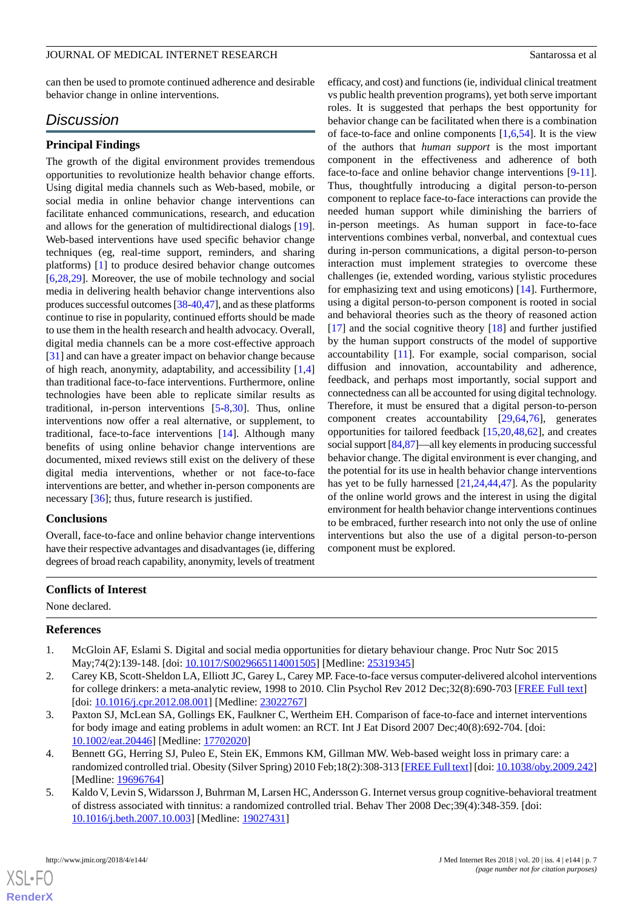can then be used to promote continued adherence and desirable behavior change in online interventions.

# *Discussion*

#### **Principal Findings**

The growth of the digital environment provides tremendous opportunities to revolutionize health behavior change efforts. Using digital media channels such as Web-based, mobile, or social media in online behavior change interventions can facilitate enhanced communications, research, and education and allows for the generation of multidirectional dialogs [[19\]](#page-8-12). Web-based interventions have used specific behavior change techniques (eg, real-time support, reminders, and sharing platforms) [\[1](#page-7-0)] to produce desired behavior change outcomes [[6](#page-8-4)[,28](#page-8-20),[29\]](#page-9-0). Moreover, the use of mobile technology and social media in delivering health behavior change interventions also produces successful outcomes [\[38-](#page-9-8)[40,](#page-9-10)[47\]](#page-9-17), and as these platforms continue to rise in popularity, continued efforts should be made to use them in the health research and health advocacy. Overall, digital media channels can be a more cost-effective approach [[31\]](#page-9-2) and can have a greater impact on behavior change because of high reach, anonymity, adaptability, and accessibility [[1](#page-7-0)[,4](#page-7-3)] than traditional face-to-face interventions. Furthermore, online technologies have been able to replicate similar results as traditional, in-person interventions [\[5](#page-7-4)-[8,](#page-8-1)[30](#page-9-1)]. Thus, online interventions now offer a real alternative, or supplement, to traditional, face-to-face interventions [[14\]](#page-8-7). Although many benefits of using online behavior change interventions are documented, mixed reviews still exist on the delivery of these digital media interventions, whether or not face-to-face interventions are better, and whether in-person components are necessary [\[36](#page-9-6)]; thus, future research is justified.

#### **Conclusions**

Overall, face-to-face and online behavior change interventions have their respective advantages and disadvantages (ie, differing degrees of broad reach capability, anonymity, levels of treatment

efficacy, and cost) and functions (ie, individual clinical treatment vs public health prevention programs), yet both serve important roles. It is suggested that perhaps the best opportunity for behavior change can be facilitated when there is a combination of face-to-face and online components  $[1,6,54]$  $[1,6,54]$  $[1,6,54]$  $[1,6,54]$  $[1,6,54]$ . It is the view of the authors that *human support* is the most important component in the effectiveness and adherence of both face-to-face and online behavior change interventions [[9-](#page-8-2)[11\]](#page-8-3). Thus, thoughtfully introducing a digital person-to-person component to replace face-to-face interactions can provide the needed human support while diminishing the barriers of in-person meetings. As human support in face-to-face interventions combines verbal, nonverbal, and contextual cues during in-person communications, a digital person-to-person interaction must implement strategies to overcome these challenges (ie, extended wording, various stylistic procedures for emphasizing text and using emoticons) [[14\]](#page-8-7). Furthermore, using a digital person-to-person component is rooted in social and behavioral theories such as the theory of reasoned action [[17\]](#page-8-10) and the social cognitive theory [[18\]](#page-8-11) and further justified by the human support constructs of the model of supportive accountability [\[11](#page-8-3)]. For example, social comparison, social diffusion and innovation, accountability and adherence, feedback, and perhaps most importantly, social support and connectedness can all be accounted for using digital technology. Therefore, it must be ensured that a digital person-to-person component creates accountability [[29,](#page-9-0)[64](#page-10-10),[76\]](#page-11-1), generates opportunities for tailored feedback [[15](#page-8-8)[,20](#page-8-13),[48](#page-9-18)[,62](#page-10-8)], and creates social support [[84](#page-11-9),[87\]](#page-11-12)—all key elements in producing successful behavior change. The digital environment is ever changing, and the potential for its use in health behavior change interventions has yet to be fully harnessed [\[21](#page-8-14),[24](#page-8-16)[,44](#page-9-14),[47\]](#page-9-17). As the popularity of the online world grows and the interest in using the digital environment for health behavior change interventions continues to be embraced, further research into not only the use of online interventions but also the use of a digital person-to-person component must be explored.

#### <span id="page-7-0"></span>**Conflicts of Interest**

<span id="page-7-1"></span>None declared.

#### **References**

- <span id="page-7-2"></span>1. McGloin AF, Eslami S. Digital and social media opportunities for dietary behaviour change. Proc Nutr Soc 2015 May;74(2):139-148. [doi: [10.1017/S0029665114001505\]](http://dx.doi.org/10.1017/S0029665114001505) [Medline: [25319345](http://www.ncbi.nlm.nih.gov/entrez/query.fcgi?cmd=Retrieve&db=PubMed&list_uids=25319345&dopt=Abstract)]
- <span id="page-7-3"></span>2. Carey KB, Scott-Sheldon LA, Elliott JC, Garey L, Carey MP. Face-to-face versus computer-delivered alcohol interventions for college drinkers: a meta-analytic review, 1998 to 2010. Clin Psychol Rev 2012 Dec;32(8):690-703 [[FREE Full text](http://europepmc.org/abstract/MED/23022767)] [doi: [10.1016/j.cpr.2012.08.001](http://dx.doi.org/10.1016/j.cpr.2012.08.001)] [Medline: [23022767\]](http://www.ncbi.nlm.nih.gov/entrez/query.fcgi?cmd=Retrieve&db=PubMed&list_uids=23022767&dopt=Abstract)
- <span id="page-7-4"></span>3. Paxton SJ, McLean SA, Gollings EK, Faulkner C, Wertheim EH. Comparison of face-to-face and internet interventions for body image and eating problems in adult women: an RCT. Int J Eat Disord 2007 Dec;40(8):692-704. [doi: [10.1002/eat.20446\]](http://dx.doi.org/10.1002/eat.20446) [Medline: [17702020\]](http://www.ncbi.nlm.nih.gov/entrez/query.fcgi?cmd=Retrieve&db=PubMed&list_uids=17702020&dopt=Abstract)
- 4. Bennett GG, Herring SJ, Puleo E, Stein EK, Emmons KM, Gillman MW. Web-based weight loss in primary care: a randomized controlled trial. Obesity (Silver Spring) 2010 Feb;18(2):308-313 [[FREE Full text\]](http://dx.doi.org/10.1038/oby.2009.242) [doi: [10.1038/oby.2009.242](http://dx.doi.org/10.1038/oby.2009.242)] [Medline: [19696764](http://www.ncbi.nlm.nih.gov/entrez/query.fcgi?cmd=Retrieve&db=PubMed&list_uids=19696764&dopt=Abstract)]
- 5. Kaldo V, Levin S, Widarsson J, Buhrman M, Larsen HC, Andersson G. Internet versus group cognitive-behavioral treatment of distress associated with tinnitus: a randomized controlled trial. Behav Ther 2008 Dec;39(4):348-359. [doi: [10.1016/j.beth.2007.10.003\]](http://dx.doi.org/10.1016/j.beth.2007.10.003) [Medline: [19027431\]](http://www.ncbi.nlm.nih.gov/entrez/query.fcgi?cmd=Retrieve&db=PubMed&list_uids=19027431&dopt=Abstract)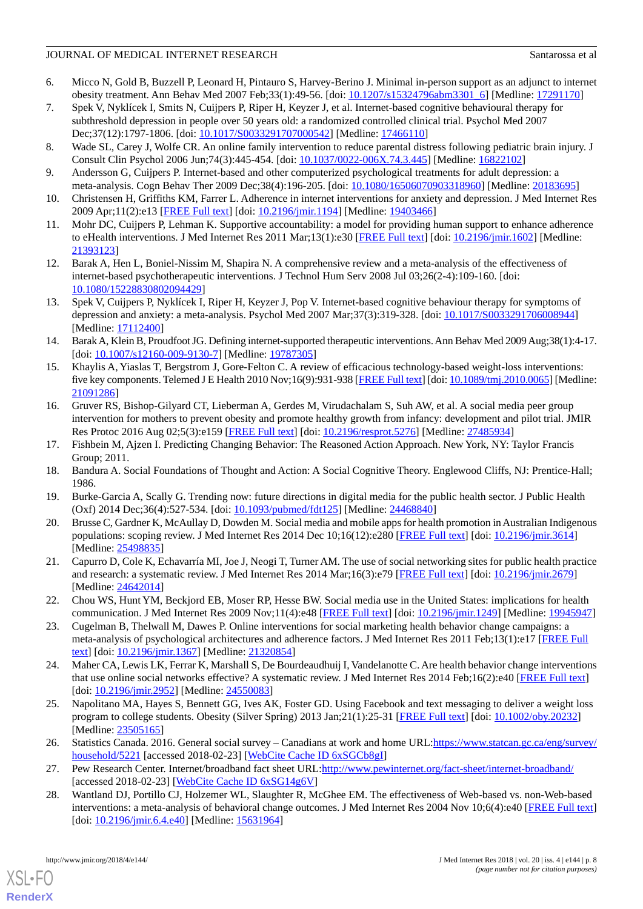- <span id="page-8-4"></span>6. Micco N, Gold B, Buzzell P, Leonard H, Pintauro S, Harvey-Berino J. Minimal in-person support as an adjunct to internet obesity treatment. Ann Behav Med 2007 Feb;33(1):49-56. [doi: [10.1207/s15324796abm3301\\_6](http://dx.doi.org/10.1207/s15324796abm3301_6)] [Medline: [17291170](http://www.ncbi.nlm.nih.gov/entrez/query.fcgi?cmd=Retrieve&db=PubMed&list_uids=17291170&dopt=Abstract)]
- <span id="page-8-0"></span>7. Spek V, Nyklícek I, Smits N, Cuijpers P, Riper H, Keyzer J, et al. Internet-based cognitive behavioural therapy for subthreshold depression in people over 50 years old: a randomized controlled clinical trial. Psychol Med 2007 Dec;37(12):1797-1806. [doi: [10.1017/S0033291707000542](http://dx.doi.org/10.1017/S0033291707000542)] [Medline: [17466110](http://www.ncbi.nlm.nih.gov/entrez/query.fcgi?cmd=Retrieve&db=PubMed&list_uids=17466110&dopt=Abstract)]
- <span id="page-8-2"></span><span id="page-8-1"></span>8. Wade SL, Carey J, Wolfe CR. An online family intervention to reduce parental distress following pediatric brain injury. J Consult Clin Psychol 2006 Jun;74(3):445-454. [doi: [10.1037/0022-006X.74.3.445\]](http://dx.doi.org/10.1037/0022-006X.74.3.445) [Medline: [16822102\]](http://www.ncbi.nlm.nih.gov/entrez/query.fcgi?cmd=Retrieve&db=PubMed&list_uids=16822102&dopt=Abstract)
- <span id="page-8-21"></span>9. Andersson G, Cuijpers P. Internet-based and other computerized psychological treatments for adult depression: a meta-analysis. Cogn Behav Ther 2009 Dec;38(4):196-205. [doi: [10.1080/16506070903318960\]](http://dx.doi.org/10.1080/16506070903318960) [Medline: [20183695](http://www.ncbi.nlm.nih.gov/entrez/query.fcgi?cmd=Retrieve&db=PubMed&list_uids=20183695&dopt=Abstract)]
- <span id="page-8-3"></span>10. Christensen H, Griffiths KM, Farrer L. Adherence in internet interventions for anxiety and depression. J Med Internet Res 2009 Apr;11(2):e13 [[FREE Full text\]](http://www.jmir.org/2009/2/e13/) [doi: [10.2196/jmir.1194](http://dx.doi.org/10.2196/jmir.1194)] [Medline: [19403466\]](http://www.ncbi.nlm.nih.gov/entrez/query.fcgi?cmd=Retrieve&db=PubMed&list_uids=19403466&dopt=Abstract)
- <span id="page-8-5"></span>11. Mohr DC, Cuijpers P, Lehman K. Supportive accountability: a model for providing human support to enhance adherence to eHealth interventions. J Med Internet Res 2011 Mar;13(1):e30 [\[FREE Full text\]](http://www.jmir.org/2011/1/e30/) [doi: [10.2196/jmir.1602\]](http://dx.doi.org/10.2196/jmir.1602) [Medline: [21393123](http://www.ncbi.nlm.nih.gov/entrez/query.fcgi?cmd=Retrieve&db=PubMed&list_uids=21393123&dopt=Abstract)]
- <span id="page-8-6"></span>12. Barak A, Hen L, Boniel-Nissim M, Shapira N. A comprehensive review and a meta-analysis of the effectiveness of internet-based psychotherapeutic interventions. J Technol Hum Serv 2008 Jul 03;26(2-4):109-160. [doi: [10.1080/15228830802094429\]](http://dx.doi.org/10.1080/15228830802094429)
- <span id="page-8-7"></span>13. Spek V, Cuijpers P, Nyklícek I, Riper H, Keyzer J, Pop V. Internet-based cognitive behaviour therapy for symptoms of depression and anxiety: a meta-analysis. Psychol Med 2007 Mar;37(3):319-328. [doi: [10.1017/S0033291706008944](http://dx.doi.org/10.1017/S0033291706008944)] [Medline: [17112400](http://www.ncbi.nlm.nih.gov/entrez/query.fcgi?cmd=Retrieve&db=PubMed&list_uids=17112400&dopt=Abstract)]
- <span id="page-8-8"></span>14. Barak A, Klein B, Proudfoot JG. Defining internet-supported therapeutic interventions. Ann Behav Med 2009 Aug;38(1):4-17. [doi: [10.1007/s12160-009-9130-7](http://dx.doi.org/10.1007/s12160-009-9130-7)] [Medline: [19787305\]](http://www.ncbi.nlm.nih.gov/entrez/query.fcgi?cmd=Retrieve&db=PubMed&list_uids=19787305&dopt=Abstract)
- <span id="page-8-9"></span>15. Khaylis A, Yiaslas T, Bergstrom J, Gore-Felton C. A review of efficacious technology-based weight-loss interventions: five key components. Telemed J E Health 2010 Nov;16(9):931-938 [\[FREE Full text\]](http://europepmc.org/abstract/MED/21091286) [doi: [10.1089/tmj.2010.0065\]](http://dx.doi.org/10.1089/tmj.2010.0065) [Medline: [21091286](http://www.ncbi.nlm.nih.gov/entrez/query.fcgi?cmd=Retrieve&db=PubMed&list_uids=21091286&dopt=Abstract)]
- <span id="page-8-11"></span><span id="page-8-10"></span>16. Gruver RS, Bishop-Gilyard CT, Lieberman A, Gerdes M, Virudachalam S, Suh AW, et al. A social media peer group intervention for mothers to prevent obesity and promote healthy growth from infancy: development and pilot trial. JMIR Res Protoc 2016 Aug 02;5(3):e159 [[FREE Full text](http://www.researchprotocols.org/2016/3/e159/)] [doi: [10.2196/resprot.5276\]](http://dx.doi.org/10.2196/resprot.5276) [Medline: [27485934\]](http://www.ncbi.nlm.nih.gov/entrez/query.fcgi?cmd=Retrieve&db=PubMed&list_uids=27485934&dopt=Abstract)
- <span id="page-8-12"></span>17. Fishbein M, Ajzen I. Predicting Changing Behavior: The Reasoned Action Approach. New York, NY: Taylor Francis Group; 2011.
- <span id="page-8-13"></span>18. Bandura A. Social Foundations of Thought and Action: A Social Cognitive Theory. Englewood Cliffs, NJ: Prentice-Hall; 1986.
- <span id="page-8-14"></span>19. Burke-Garcia A, Scally G. Trending now: future directions in digital media for the public health sector. J Public Health (Oxf) 2014 Dec;36(4):527-534. [doi: [10.1093/pubmed/fdt125](http://dx.doi.org/10.1093/pubmed/fdt125)] [Medline: [24468840\]](http://www.ncbi.nlm.nih.gov/entrez/query.fcgi?cmd=Retrieve&db=PubMed&list_uids=24468840&dopt=Abstract)
- <span id="page-8-15"></span>20. Brusse C, Gardner K, McAullay D, Dowden M. Social media and mobile apps for health promotion in Australian Indigenous populations: scoping review. J Med Internet Res 2014 Dec 10;16(12):e280 [\[FREE Full text](http://www.jmir.org/2014/12/e280/)] [doi: [10.2196/jmir.3614\]](http://dx.doi.org/10.2196/jmir.3614) [Medline: [25498835](http://www.ncbi.nlm.nih.gov/entrez/query.fcgi?cmd=Retrieve&db=PubMed&list_uids=25498835&dopt=Abstract)]
- 21. Capurro D, Cole K, Echavarría MI, Joe J, Neogi T, Turner AM. The use of social networking sites for public health practice and research: a systematic review. J Med Internet Res 2014 Mar;16(3):e79 [[FREE Full text](http://www.jmir.org/2014/3/e79/)] [doi: [10.2196/jmir.2679](http://dx.doi.org/10.2196/jmir.2679)] [Medline: [24642014](http://www.ncbi.nlm.nih.gov/entrez/query.fcgi?cmd=Retrieve&db=PubMed&list_uids=24642014&dopt=Abstract)]
- <span id="page-8-16"></span>22. Chou WS, Hunt YM, Beckjord EB, Moser RP, Hesse BW. Social media use in the United States: implications for health communication. J Med Internet Res 2009 Nov;11(4):e48 [\[FREE Full text\]](http://www.jmir.org/2009/4/e48/) [doi: [10.2196/jmir.1249\]](http://dx.doi.org/10.2196/jmir.1249) [Medline: [19945947](http://www.ncbi.nlm.nih.gov/entrez/query.fcgi?cmd=Retrieve&db=PubMed&list_uids=19945947&dopt=Abstract)]
- <span id="page-8-17"></span>23. Cugelman B, Thelwall M, Dawes P. Online interventions for social marketing health behavior change campaigns: a meta-analysis of psychological architectures and adherence factors. J Med Internet Res 2011 Feb;13(1):e17 [[FREE Full](http://www.jmir.org/2011/1/e17/) [text](http://www.jmir.org/2011/1/e17/)] [doi: [10.2196/jmir.1367](http://dx.doi.org/10.2196/jmir.1367)] [Medline: [21320854](http://www.ncbi.nlm.nih.gov/entrez/query.fcgi?cmd=Retrieve&db=PubMed&list_uids=21320854&dopt=Abstract)]
- <span id="page-8-18"></span>24. Maher CA, Lewis LK, Ferrar K, Marshall S, De Bourdeaudhuij I, Vandelanotte C. Are health behavior change interventions that use online social networks effective? A systematic review. J Med Internet Res 2014 Feb;16(2):e40 [[FREE Full text](http://www.jmir.org/2014/2/e40/)] [doi: [10.2196/jmir.2952\]](http://dx.doi.org/10.2196/jmir.2952) [Medline: [24550083\]](http://www.ncbi.nlm.nih.gov/entrez/query.fcgi?cmd=Retrieve&db=PubMed&list_uids=24550083&dopt=Abstract)
- <span id="page-8-20"></span><span id="page-8-19"></span>25. Napolitano MA, Hayes S, Bennett GG, Ives AK, Foster GD. Using Facebook and text messaging to deliver a weight loss program to college students. Obesity (Silver Spring) 2013 Jan;21(1):25-31 [\[FREE Full text](http://dx.doi.org/10.1002/oby.20232)] [doi: [10.1002/oby.20232\]](http://dx.doi.org/10.1002/oby.20232) [Medline: [23505165](http://www.ncbi.nlm.nih.gov/entrez/query.fcgi?cmd=Retrieve&db=PubMed&list_uids=23505165&dopt=Abstract)]
- 26. Statistics Canada. 2016. General social survey Canadians at work and home URL[:https://www.statcan.gc.ca/eng/survey/](https://www.statcan.gc.ca/eng/survey/household/5221) [household/5221](https://www.statcan.gc.ca/eng/survey/household/5221) [accessed 2018-02-23] [[WebCite Cache ID 6xSGCb8gI](http://www.webcitation.org/
                                6xSGCb8gI)]
- 27. Pew Research Center. Internet/broadband fact sheet URL[:http://www.pewinternet.org/fact-sheet/internet-broadband/](http://www.pewinternet.org/fact-sheet/internet-broadband/) [accessed 2018-02-23] [\[WebCite Cache ID 6xSG14g6V\]](http://www.webcitation.org/
                                6xSG14g6V)
- 28. Wantland DJ, Portillo CJ, Holzemer WL, Slaughter R, McGhee EM. The effectiveness of Web-based vs. non-Web-based interventions: a meta-analysis of behavioral change outcomes. J Med Internet Res 2004 Nov 10;6(4):e40 [\[FREE Full text](http://www.jmir.org/2004/4/e40/)] [doi: [10.2196/jmir.6.4.e40](http://dx.doi.org/10.2196/jmir.6.4.e40)] [Medline: [15631964](http://www.ncbi.nlm.nih.gov/entrez/query.fcgi?cmd=Retrieve&db=PubMed&list_uids=15631964&dopt=Abstract)]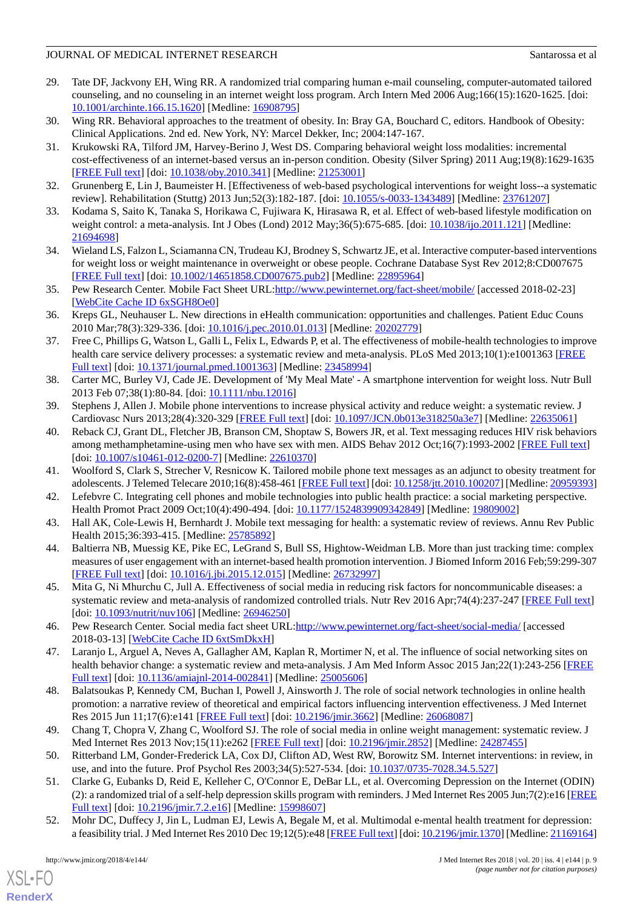- <span id="page-9-0"></span>29. Tate DF, Jackvony EH, Wing RR. A randomized trial comparing human e-mail counseling, computer-automated tailored counseling, and no counseling in an internet weight loss program. Arch Intern Med 2006 Aug;166(15):1620-1625. [doi: [10.1001/archinte.166.15.1620](http://dx.doi.org/10.1001/archinte.166.15.1620)] [Medline: [16908795](http://www.ncbi.nlm.nih.gov/entrez/query.fcgi?cmd=Retrieve&db=PubMed&list_uids=16908795&dopt=Abstract)]
- <span id="page-9-2"></span><span id="page-9-1"></span>30. Wing RR. Behavioral approaches to the treatment of obesity. In: Bray GA, Bouchard C, editors. Handbook of Obesity: Clinical Applications. 2nd ed. New York, NY: Marcel Dekker, Inc; 2004:147-167.
- 31. Krukowski RA, Tilford JM, Harvey-Berino J, West DS. Comparing behavioral weight loss modalities: incremental cost-effectiveness of an internet-based versus an in-person condition. Obesity (Silver Spring) 2011 Aug;19(8):1629-1635 [[FREE Full text](http://dx.doi.org/10.1038/oby.2010.341)] [doi: [10.1038/oby.2010.341](http://dx.doi.org/10.1038/oby.2010.341)] [Medline: [21253001\]](http://www.ncbi.nlm.nih.gov/entrez/query.fcgi?cmd=Retrieve&db=PubMed&list_uids=21253001&dopt=Abstract)
- <span id="page-9-3"></span>32. Grunenberg E, Lin J, Baumeister H. [Effectiveness of web-based psychological interventions for weight loss--a systematic review]. Rehabilitation (Stuttg) 2013 Jun;52(3):182-187. [doi: [10.1055/s-0033-1343489\]](http://dx.doi.org/10.1055/s-0033-1343489) [Medline: [23761207\]](http://www.ncbi.nlm.nih.gov/entrez/query.fcgi?cmd=Retrieve&db=PubMed&list_uids=23761207&dopt=Abstract)
- <span id="page-9-4"></span>33. Kodama S, Saito K, Tanaka S, Horikawa C, Fujiwara K, Hirasawa R, et al. Effect of web-based lifestyle modification on weight control: a meta-analysis. Int J Obes (Lond) 2012 May;36(5):675-685. [doi: [10.1038/ijo.2011.121\]](http://dx.doi.org/10.1038/ijo.2011.121) [Medline: [21694698](http://www.ncbi.nlm.nih.gov/entrez/query.fcgi?cmd=Retrieve&db=PubMed&list_uids=21694698&dopt=Abstract)]
- <span id="page-9-5"></span>34. Wieland LS, Falzon L, Sciamanna CN, Trudeau KJ, Brodney S, Schwartz JE, et al. Interactive computer-based interventions for weight loss or weight maintenance in overweight or obese people. Cochrane Database Syst Rev 2012;8:CD007675 [[FREE Full text](http://europepmc.org/abstract/MED/22895964)] [doi: [10.1002/14651858.CD007675.pub2\]](http://dx.doi.org/10.1002/14651858.CD007675.pub2) [Medline: [22895964](http://www.ncbi.nlm.nih.gov/entrez/query.fcgi?cmd=Retrieve&db=PubMed&list_uids=22895964&dopt=Abstract)]
- <span id="page-9-6"></span>35. Pew Research Center. Mobile Fact Sheet URL:<http://www.pewinternet.org/fact-sheet/mobile/>[accessed 2018-02-23] [[WebCite Cache ID 6xSGH8Oe0](http://www.webcitation.org/
                                6xSGH8Oe0)]
- <span id="page-9-7"></span>36. Kreps GL, Neuhauser L. New directions in eHealth communication: opportunities and challenges. Patient Educ Couns 2010 Mar;78(3):329-336. [doi: [10.1016/j.pec.2010.01.013\]](http://dx.doi.org/10.1016/j.pec.2010.01.013) [Medline: [20202779](http://www.ncbi.nlm.nih.gov/entrez/query.fcgi?cmd=Retrieve&db=PubMed&list_uids=20202779&dopt=Abstract)]
- <span id="page-9-8"></span>37. Free C, Phillips G, Watson L, Galli L, Felix L, Edwards P, et al. The effectiveness of mobile-health technologies to improve health care service delivery processes: a systematic review and meta-analysis. PLoS Med 2013;10(1):e1001363 [[FREE](http://dx.plos.org/10.1371/journal.pmed.1001363) [Full text\]](http://dx.plos.org/10.1371/journal.pmed.1001363) [doi: [10.1371/journal.pmed.1001363](http://dx.doi.org/10.1371/journal.pmed.1001363)] [Medline: [23458994\]](http://www.ncbi.nlm.nih.gov/entrez/query.fcgi?cmd=Retrieve&db=PubMed&list_uids=23458994&dopt=Abstract)
- <span id="page-9-10"></span><span id="page-9-9"></span>38. Carter MC, Burley VJ, Cade JE. Development of 'My Meal Mate' - A smartphone intervention for weight loss. Nutr Bull 2013 Feb 07;38(1):80-84. [doi: [10.1111/nbu.12016](http://dx.doi.org/10.1111/nbu.12016)]
- 39. Stephens J, Allen J. Mobile phone interventions to increase physical activity and reduce weight: a systematic review. J Cardiovasc Nurs 2013;28(4):320-329 [[FREE Full text](http://europepmc.org/abstract/MED/22635061)] [doi: [10.1097/JCN.0b013e318250a3e7\]](http://dx.doi.org/10.1097/JCN.0b013e318250a3e7) [Medline: [22635061](http://www.ncbi.nlm.nih.gov/entrez/query.fcgi?cmd=Retrieve&db=PubMed&list_uids=22635061&dopt=Abstract)]
- <span id="page-9-12"></span><span id="page-9-11"></span>40. Reback CJ, Grant DL, Fletcher JB, Branson CM, Shoptaw S, Bowers JR, et al. Text messaging reduces HIV risk behaviors among methamphetamine-using men who have sex with men. AIDS Behav 2012 Oct;16(7):1993-2002 [[FREE Full text](http://europepmc.org/abstract/MED/22610370)] [doi: [10.1007/s10461-012-0200-7](http://dx.doi.org/10.1007/s10461-012-0200-7)] [Medline: [22610370\]](http://www.ncbi.nlm.nih.gov/entrez/query.fcgi?cmd=Retrieve&db=PubMed&list_uids=22610370&dopt=Abstract)
- <span id="page-9-13"></span>41. Woolford S, Clark S, Strecher V, Resnicow K. Tailored mobile phone text messages as an adjunct to obesity treatment for adolescents. J Telemed Telecare 2010;16(8):458-461 [[FREE Full text\]](http://europepmc.org/abstract/MED/20959393) [doi: [10.1258/jtt.2010.100207](http://dx.doi.org/10.1258/jtt.2010.100207)] [Medline: [20959393\]](http://www.ncbi.nlm.nih.gov/entrez/query.fcgi?cmd=Retrieve&db=PubMed&list_uids=20959393&dopt=Abstract)
- <span id="page-9-14"></span>42. Lefebvre C. Integrating cell phones and mobile technologies into public health practice: a social marketing perspective. Health Promot Pract 2009 Oct;10(4):490-494. [doi: [10.1177/1524839909342849\]](http://dx.doi.org/10.1177/1524839909342849) [Medline: [19809002\]](http://www.ncbi.nlm.nih.gov/entrez/query.fcgi?cmd=Retrieve&db=PubMed&list_uids=19809002&dopt=Abstract)
- <span id="page-9-15"></span>43. Hall AK, Cole-Lewis H, Bernhardt J. Mobile text messaging for health: a systematic review of reviews. Annu Rev Public Health 2015;36:393-415. [Medline: [25785892\]](http://www.ncbi.nlm.nih.gov/entrez/query.fcgi?cmd=Retrieve&db=PubMed&list_uids=25785892&dopt=Abstract)
- <span id="page-9-16"></span>44. Baltierra NB, Muessig KE, Pike EC, LeGrand S, Bull SS, Hightow-Weidman LB. More than just tracking time: complex measures of user engagement with an internet-based health promotion intervention. J Biomed Inform 2016 Feb;59:299-307 [[FREE Full text](https://linkinghub.elsevier.com/retrieve/pii/S1532-0464(15)00295-6)] [doi: [10.1016/j.jbi.2015.12.015](http://dx.doi.org/10.1016/j.jbi.2015.12.015)] [Medline: [26732997\]](http://www.ncbi.nlm.nih.gov/entrez/query.fcgi?cmd=Retrieve&db=PubMed&list_uids=26732997&dopt=Abstract)
- <span id="page-9-17"></span>45. Mita G, Ni Mhurchu C, Jull A. Effectiveness of social media in reducing risk factors for noncommunicable diseases: a systematic review and meta-analysis of randomized controlled trials. Nutr Rev 2016 Apr;74(4):237-247 [\[FREE Full text\]](http://europepmc.org/abstract/MED/26946250) [doi: [10.1093/nutrit/nuv106\]](http://dx.doi.org/10.1093/nutrit/nuv106) [Medline: [26946250](http://www.ncbi.nlm.nih.gov/entrez/query.fcgi?cmd=Retrieve&db=PubMed&list_uids=26946250&dopt=Abstract)]
- <span id="page-9-18"></span>46. Pew Research Center. Social media fact sheet URL:<http://www.pewinternet.org/fact-sheet/social-media/> [accessed 2018-03-13] [\[WebCite Cache ID 6xtSmDkxH\]](http://www.webcitation.org/
                                6xtSmDkxH)
- <span id="page-9-19"></span>47. Laranjo L, Arguel A, Neves A, Gallagher AM, Kaplan R, Mortimer N, et al. The influence of social networking sites on health behavior change: a systematic review and meta-analysis. J Am Med Inform Assoc 2015 Jan;22(1):243-256 [\[FREE](http://europepmc.org/abstract/MED/25005606) [Full text\]](http://europepmc.org/abstract/MED/25005606) [doi: [10.1136/amiajnl-2014-002841](http://dx.doi.org/10.1136/amiajnl-2014-002841)] [Medline: [25005606\]](http://www.ncbi.nlm.nih.gov/entrez/query.fcgi?cmd=Retrieve&db=PubMed&list_uids=25005606&dopt=Abstract)
- <span id="page-9-21"></span><span id="page-9-20"></span>48. Balatsoukas P, Kennedy CM, Buchan I, Powell J, Ainsworth J. The role of social network technologies in online health promotion: a narrative review of theoretical and empirical factors influencing intervention effectiveness. J Med Internet Res 2015 Jun 11;17(6):e141 [\[FREE Full text\]](http://www.jmir.org/2015/6/e141/) [doi: [10.2196/jmir.3662\]](http://dx.doi.org/10.2196/jmir.3662) [Medline: [26068087\]](http://www.ncbi.nlm.nih.gov/entrez/query.fcgi?cmd=Retrieve&db=PubMed&list_uids=26068087&dopt=Abstract)
- 49. Chang T, Chopra V, Zhang C, Woolford SJ. The role of social media in online weight management: systematic review. J Med Internet Res 2013 Nov;15(11):e262 [[FREE Full text\]](http://www.jmir.org/2013/11/e262/) [doi: [10.2196/jmir.2852](http://dx.doi.org/10.2196/jmir.2852)] [Medline: [24287455\]](http://www.ncbi.nlm.nih.gov/entrez/query.fcgi?cmd=Retrieve&db=PubMed&list_uids=24287455&dopt=Abstract)
- 50. Ritterband LM, Gonder-Frederick LA, Cox DJ, Clifton AD, West RW, Borowitz SM. Internet interventions: in review, in use, and into the future. Prof Psychol Res 2003;34(5):527-534. [doi: [10.1037/0735-7028.34.5.527\]](http://dx.doi.org/10.1037/0735-7028.34.5.527)
- 51. Clarke G, Eubanks D, Reid E, Kelleher C, O'Connor E, DeBar LL, et al. Overcoming Depression on the Internet (ODIN) (2): a randomized trial of a self-help depression skills program with reminders. J Med Internet Res 2005 Jun;7(2):e16 [\[FREE](http://www.jmir.org/2005/2/e16/) [Full text\]](http://www.jmir.org/2005/2/e16/) [doi: [10.2196/jmir.7.2.e16\]](http://dx.doi.org/10.2196/jmir.7.2.e16) [Medline: [15998607](http://www.ncbi.nlm.nih.gov/entrez/query.fcgi?cmd=Retrieve&db=PubMed&list_uids=15998607&dopt=Abstract)]
- 52. Mohr DC, Duffecy J, Jin L, Ludman EJ, Lewis A, Begale M, et al. Multimodal e-mental health treatment for depression: a feasibility trial. J Med Internet Res 2010 Dec 19;12(5):e48 [\[FREE Full text\]](http://www.jmir.org/2010/5/e48/) [doi: [10.2196/jmir.1370\]](http://dx.doi.org/10.2196/jmir.1370) [Medline: [21169164\]](http://www.ncbi.nlm.nih.gov/entrez/query.fcgi?cmd=Retrieve&db=PubMed&list_uids=21169164&dopt=Abstract)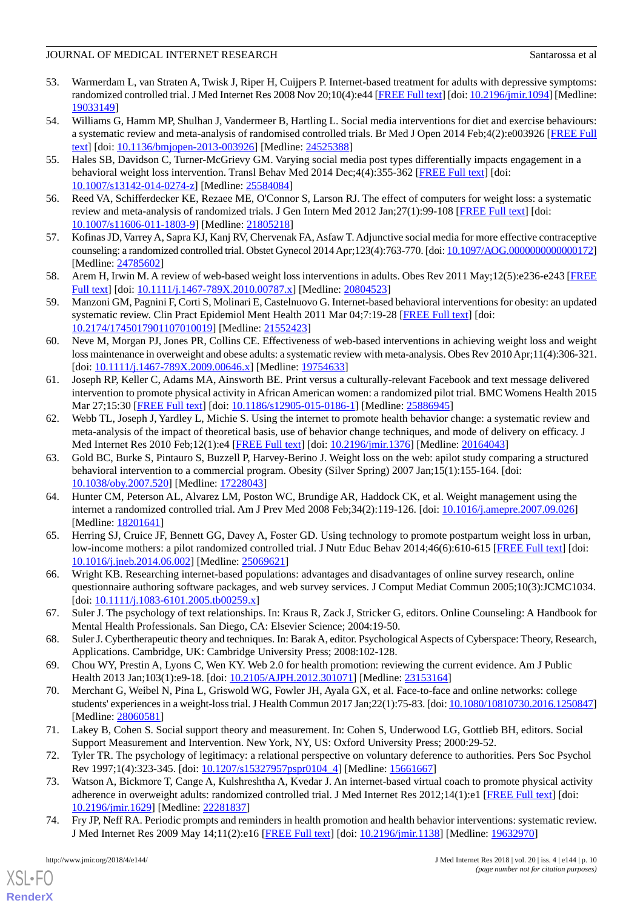- <span id="page-10-0"></span>53. Warmerdam L, van Straten A, Twisk J, Riper H, Cuijpers P. Internet-based treatment for adults with depressive symptoms: randomized controlled trial. J Med Internet Res 2008 Nov 20;10(4):e44 [\[FREE Full text](http://www.jmir.org/2008/4/e44/)] [doi: [10.2196/jmir.1094](http://dx.doi.org/10.2196/jmir.1094)] [Medline: [19033149](http://www.ncbi.nlm.nih.gov/entrez/query.fcgi?cmd=Retrieve&db=PubMed&list_uids=19033149&dopt=Abstract)]
- <span id="page-10-1"></span>54. Williams G, Hamm MP, Shulhan J, Vandermeer B, Hartling L. Social media interventions for diet and exercise behaviours: a systematic review and meta-analysis of randomised controlled trials. Br Med J Open 2014 Feb;4(2):e003926 [[FREE Full](http://bmjopen.bmj.com/cgi/pmidlookup?view=long&pmid=24525388) [text](http://bmjopen.bmj.com/cgi/pmidlookup?view=long&pmid=24525388)] [doi: [10.1136/bmjopen-2013-003926\]](http://dx.doi.org/10.1136/bmjopen-2013-003926) [Medline: [24525388](http://www.ncbi.nlm.nih.gov/entrez/query.fcgi?cmd=Retrieve&db=PubMed&list_uids=24525388&dopt=Abstract)]
- <span id="page-10-2"></span>55. Hales SB, Davidson C, Turner-McGrievy GM. Varying social media post types differentially impacts engagement in a behavioral weight loss intervention. Transl Behav Med 2014 Dec;4(4):355-362 [\[FREE Full text\]](http://europepmc.org/abstract/MED/25584084) [doi: [10.1007/s13142-014-0274-z](http://dx.doi.org/10.1007/s13142-014-0274-z)] [Medline: [25584084\]](http://www.ncbi.nlm.nih.gov/entrez/query.fcgi?cmd=Retrieve&db=PubMed&list_uids=25584084&dopt=Abstract)
- <span id="page-10-4"></span><span id="page-10-3"></span>56. Reed VA, Schifferdecker KE, Rezaee ME, O'Connor S, Larson RJ. The effect of computers for weight loss: a systematic review and meta-analysis of randomized trials. J Gen Intern Med 2012 Jan;27(1):99-108 [[FREE Full text](http://europepmc.org/abstract/MED/21805218)] [doi: [10.1007/s11606-011-1803-9\]](http://dx.doi.org/10.1007/s11606-011-1803-9) [Medline: [21805218](http://www.ncbi.nlm.nih.gov/entrez/query.fcgi?cmd=Retrieve&db=PubMed&list_uids=21805218&dopt=Abstract)]
- <span id="page-10-5"></span>57. Kofinas JD, Varrey A, Sapra KJ, Kanj RV, Chervenak FA, Asfaw T. Adjunctive social media for more effective contraceptive counseling: a randomized controlled trial. Obstet Gynecol 2014 Apr;123(4):763-770. [doi: [10.1097/AOG.0000000000000172](http://dx.doi.org/10.1097/AOG.0000000000000172)] [Medline: [24785602](http://www.ncbi.nlm.nih.gov/entrez/query.fcgi?cmd=Retrieve&db=PubMed&list_uids=24785602&dopt=Abstract)]
- 58. Arem H, Irwin M. A review of web-based weight loss interventions in adults. Obes Rev 2011 May;12(5):e236-e243 [\[FREE](http://europepmc.org/abstract/MED/20804523) [Full text\]](http://europepmc.org/abstract/MED/20804523) [doi: [10.1111/j.1467-789X.2010.00787.x\]](http://dx.doi.org/10.1111/j.1467-789X.2010.00787.x) [Medline: [20804523\]](http://www.ncbi.nlm.nih.gov/entrez/query.fcgi?cmd=Retrieve&db=PubMed&list_uids=20804523&dopt=Abstract)
- <span id="page-10-6"></span>59. Manzoni GM, Pagnini F, Corti S, Molinari E, Castelnuovo G. Internet-based behavioral interventions for obesity: an updated systematic review. Clin Pract Epidemiol Ment Health 2011 Mar 04;7:19-28 [\[FREE Full text\]](http://europepmc.org/abstract/MED/21552423) [doi: [10.2174/1745017901107010019\]](http://dx.doi.org/10.2174/1745017901107010019) [Medline: [21552423\]](http://www.ncbi.nlm.nih.gov/entrez/query.fcgi?cmd=Retrieve&db=PubMed&list_uids=21552423&dopt=Abstract)
- <span id="page-10-7"></span>60. Neve M, Morgan PJ, Jones PR, Collins CE. Effectiveness of web-based interventions in achieving weight loss and weight loss maintenance in overweight and obese adults: a systematic review with meta-analysis. Obes Rev 2010 Apr;11(4):306-321. [doi: [10.1111/j.1467-789X.2009.00646.x\]](http://dx.doi.org/10.1111/j.1467-789X.2009.00646.x) [Medline: [19754633](http://www.ncbi.nlm.nih.gov/entrez/query.fcgi?cmd=Retrieve&db=PubMed&list_uids=19754633&dopt=Abstract)]
- <span id="page-10-8"></span>61. Joseph RP, Keller C, Adams MA, Ainsworth BE. Print versus a culturally-relevant Facebook and text message delivered intervention to promote physical activity in African American women: a randomized pilot trial. BMC Womens Health 2015 Mar 27;15:30 [\[FREE Full text\]](https://bmcwomenshealth.biomedcentral.com/articles/10.1186/s12905-015-0186-1) [doi: [10.1186/s12905-015-0186-1\]](http://dx.doi.org/10.1186/s12905-015-0186-1) [Medline: [25886945\]](http://www.ncbi.nlm.nih.gov/entrez/query.fcgi?cmd=Retrieve&db=PubMed&list_uids=25886945&dopt=Abstract)
- <span id="page-10-9"></span>62. Webb TL, Joseph J, Yardley L, Michie S. Using the internet to promote health behavior change: a systematic review and meta-analysis of the impact of theoretical basis, use of behavior change techniques, and mode of delivery on efficacy. J Med Internet Res 2010 Feb;12(1):e4 [\[FREE Full text\]](http://www.jmir.org/2010/1/e4) [doi: [10.2196/jmir.1376\]](http://dx.doi.org/10.2196/jmir.1376) [Medline: [20164043\]](http://www.ncbi.nlm.nih.gov/entrez/query.fcgi?cmd=Retrieve&db=PubMed&list_uids=20164043&dopt=Abstract)
- <span id="page-10-10"></span>63. Gold BC, Burke S, Pintauro S, Buzzell P, Harvey-Berino J. Weight loss on the web: apilot study comparing a structured behavioral intervention to a commercial program. Obesity (Silver Spring) 2007 Jan;15(1):155-164. [doi: [10.1038/oby.2007.520](http://dx.doi.org/10.1038/oby.2007.520)] [Medline: [17228043\]](http://www.ncbi.nlm.nih.gov/entrez/query.fcgi?cmd=Retrieve&db=PubMed&list_uids=17228043&dopt=Abstract)
- <span id="page-10-11"></span>64. Hunter CM, Peterson AL, Alvarez LM, Poston WC, Brundige AR, Haddock CK, et al. Weight management using the internet a randomized controlled trial. Am J Prev Med 2008 Feb;34(2):119-126. [doi: [10.1016/j.amepre.2007.09.026](http://dx.doi.org/10.1016/j.amepre.2007.09.026)] [Medline: [18201641](http://www.ncbi.nlm.nih.gov/entrez/query.fcgi?cmd=Retrieve&db=PubMed&list_uids=18201641&dopt=Abstract)]
- <span id="page-10-13"></span><span id="page-10-12"></span>65. Herring SJ, Cruice JF, Bennett GG, Davey A, Foster GD. Using technology to promote postpartum weight loss in urban, low-income mothers: a pilot randomized controlled trial. J Nutr Educ Behav 2014;46(6):610-615 [\[FREE Full text\]](http://europepmc.org/abstract/MED/25069621) [doi: [10.1016/j.jneb.2014.06.002](http://dx.doi.org/10.1016/j.jneb.2014.06.002)] [Medline: [25069621](http://www.ncbi.nlm.nih.gov/entrez/query.fcgi?cmd=Retrieve&db=PubMed&list_uids=25069621&dopt=Abstract)]
- <span id="page-10-14"></span>66. Wright KB. Researching internet-based populations: advantages and disadvantages of online survey research, online questionnaire authoring software packages, and web survey services. J Comput Mediat Commun 2005;10(3):JCMC1034.  $\left[$ doi:  $\frac{10.1111}{i}$ .1083-6101.2005.tb00259.x]
- <span id="page-10-16"></span><span id="page-10-15"></span>67. Suler J. The psychology of text relationships. In: Kraus R, Zack J, Stricker G, editors. Online Counseling: A Handbook for Mental Health Professionals. San Diego, CA: Elsevier Science; 2004:19-50.
- 68. Suler J. Cybertherapeutic theory and techniques. In: Barak A, editor. Psychological Aspects of Cyberspace: Theory, Research, Applications. Cambridge, UK: Cambridge University Press; 2008:102-128.
- <span id="page-10-17"></span>69. Chou WY, Prestin A, Lyons C, Wen KY. Web 2.0 for health promotion: reviewing the current evidence. Am J Public Health 2013 Jan;103(1):e9-18. [doi: [10.2105/AJPH.2012.301071](http://dx.doi.org/10.2105/AJPH.2012.301071)] [Medline: [23153164\]](http://www.ncbi.nlm.nih.gov/entrez/query.fcgi?cmd=Retrieve&db=PubMed&list_uids=23153164&dopt=Abstract)
- <span id="page-10-19"></span><span id="page-10-18"></span>70. Merchant G, Weibel N, Pina L, Griswold WG, Fowler JH, Ayala GX, et al. Face-to-face and online networks: college students' experiences in a weight-loss trial. J Health Commun 2017 Jan;22(1):75-83. [doi: [10.1080/10810730.2016.1250847](http://dx.doi.org/10.1080/10810730.2016.1250847)] [Medline: [28060581](http://www.ncbi.nlm.nih.gov/entrez/query.fcgi?cmd=Retrieve&db=PubMed&list_uids=28060581&dopt=Abstract)]
- <span id="page-10-20"></span>71. Lakey B, Cohen S. Social support theory and measurement. In: Cohen S, Underwood LG, Gottlieb BH, editors. Social Support Measurement and Intervention. New York, NY, US: Oxford University Press; 2000:29-52.
- 72. Tyler TR. The psychology of legitimacy: a relational perspective on voluntary deference to authorities. Pers Soc Psychol Rev 1997;1(4):323-345. [doi: [10.1207/s15327957pspr0104\\_4](http://dx.doi.org/10.1207/s15327957pspr0104_4)] [Medline: [15661667\]](http://www.ncbi.nlm.nih.gov/entrez/query.fcgi?cmd=Retrieve&db=PubMed&list_uids=15661667&dopt=Abstract)
- 73. Watson A, Bickmore T, Cange A, Kulshreshtha A, Kvedar J. An internet-based virtual coach to promote physical activity adherence in overweight adults: randomized controlled trial. J Med Internet Res 2012;14(1):e1 [[FREE Full text](http://www.jmir.org/2012/1/e1/)] [doi: [10.2196/jmir.1629](http://dx.doi.org/10.2196/jmir.1629)] [Medline: [22281837](http://www.ncbi.nlm.nih.gov/entrez/query.fcgi?cmd=Retrieve&db=PubMed&list_uids=22281837&dopt=Abstract)]
- 74. Fry JP, Neff RA. Periodic prompts and reminders in health promotion and health behavior interventions: systematic review. J Med Internet Res 2009 May 14;11(2):e16 [[FREE Full text](http://www.jmir.org/2009/2/e16/)] [doi: [10.2196/jmir.1138](http://dx.doi.org/10.2196/jmir.1138)] [Medline: [19632970\]](http://www.ncbi.nlm.nih.gov/entrez/query.fcgi?cmd=Retrieve&db=PubMed&list_uids=19632970&dopt=Abstract)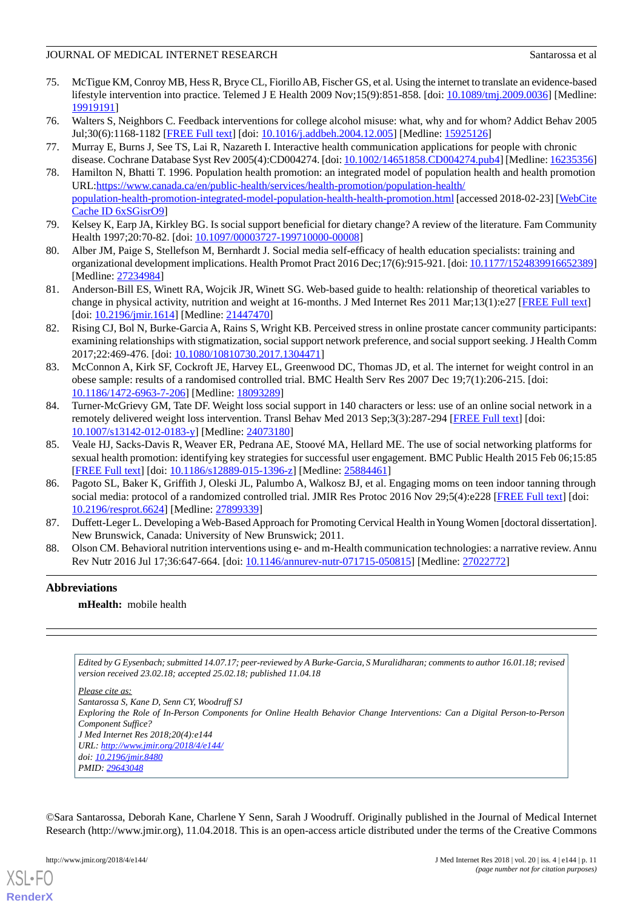- <span id="page-11-0"></span>75. McTigue KM, Conroy MB, Hess R, Bryce CL, Fiorillo AB, Fischer GS, et al. Using the internet to translate an evidence-based lifestyle intervention into practice. Telemed J E Health 2009 Nov;15(9):851-858. [doi: [10.1089/tmj.2009.0036\]](http://dx.doi.org/10.1089/tmj.2009.0036) [Medline: [19919191](http://www.ncbi.nlm.nih.gov/entrez/query.fcgi?cmd=Retrieve&db=PubMed&list_uids=19919191&dopt=Abstract)]
- <span id="page-11-2"></span><span id="page-11-1"></span>76. Walters S, Neighbors C. Feedback interventions for college alcohol misuse: what, why and for whom? Addict Behav 2005 Jul;30(6):1168-1182 [[FREE Full text\]](http://europepmc.org/abstract/MED/15925126) [doi: [10.1016/j.addbeh.2004.12.005](http://dx.doi.org/10.1016/j.addbeh.2004.12.005)] [Medline: [15925126\]](http://www.ncbi.nlm.nih.gov/entrez/query.fcgi?cmd=Retrieve&db=PubMed&list_uids=15925126&dopt=Abstract)
- <span id="page-11-3"></span>77. Murray E, Burns J, See TS, Lai R, Nazareth I. Interactive health communication applications for people with chronic disease. Cochrane Database Syst Rev 2005(4):CD004274. [doi: [10.1002/14651858.CD004274.pub4\]](http://dx.doi.org/10.1002/14651858.CD004274.pub4) [Medline: [16235356](http://www.ncbi.nlm.nih.gov/entrez/query.fcgi?cmd=Retrieve&db=PubMed&list_uids=16235356&dopt=Abstract)]
- 78. Hamilton N, Bhatti T. 1996. Population health promotion: an integrated model of population health and health promotion URL[:https://www.canada.ca/en/public-health/services/health-promotion/population-health/](https://www.canada.ca/en/public-health/services/health-promotion/population-health/population-health-promotion-integrated-model-population-health-health-promotion.html) [population-health-promotion-integrated-model-population-health-health-promotion.html](https://www.canada.ca/en/public-health/services/health-promotion/population-health/population-health-promotion-integrated-model-population-health-health-promotion.html) [accessed 2018-02-23] [\[WebCite](http://www.webcitation.org/
                                6xSGisrO9) [Cache ID 6xSGisrO9](http://www.webcitation.org/
                                6xSGisrO9)]
- <span id="page-11-5"></span><span id="page-11-4"></span>79. Kelsey K, Earp JA, Kirkley BG. Is social support beneficial for dietary change? A review of the literature. Fam Community Health 1997;20:70-82. [doi: [10.1097/00003727-199710000-00008\]](http://dx.doi.org/10.1097/00003727-199710000-00008)
- <span id="page-11-6"></span>80. Alber JM, Paige S, Stellefson M, Bernhardt J. Social media self-efficacy of health education specialists: training and organizational development implications. Health Promot Pract 2016 Dec;17(6):915-921. [doi: [10.1177/1524839916652389\]](http://dx.doi.org/10.1177/1524839916652389) [Medline: [27234984](http://www.ncbi.nlm.nih.gov/entrez/query.fcgi?cmd=Retrieve&db=PubMed&list_uids=27234984&dopt=Abstract)]
- <span id="page-11-7"></span>81. Anderson-Bill ES, Winett RA, Wojcik JR, Winett SG. Web-based guide to health: relationship of theoretical variables to change in physical activity, nutrition and weight at 16-months. J Med Internet Res 2011 Mar;13(1):e27 [[FREE Full text](http://www.jmir.org/2011/1/e27/)] [doi: [10.2196/jmir.1614\]](http://dx.doi.org/10.2196/jmir.1614) [Medline: [21447470\]](http://www.ncbi.nlm.nih.gov/entrez/query.fcgi?cmd=Retrieve&db=PubMed&list_uids=21447470&dopt=Abstract)
- <span id="page-11-8"></span>82. Rising CJ, Bol N, Burke-Garcia A, Rains S, Wright KB. Perceived stress in online prostate cancer community participants: examining relationships with stigmatization, social support network preference, and social support seeking. J Health Comm 2017;22:469-476. [doi: [10.1080/10810730.2017.1304471](http://dx.doi.org/10.1080/10810730.2017.1304471)]
- <span id="page-11-9"></span>83. McConnon A, Kirk SF, Cockroft JE, Harvey EL, Greenwood DC, Thomas JD, et al. The internet for weight control in an obese sample: results of a randomised controlled trial. BMC Health Serv Res 2007 Dec 19;7(1):206-215. [doi: [10.1186/1472-6963-7-206\]](http://dx.doi.org/10.1186/1472-6963-7-206) [Medline: [18093289\]](http://www.ncbi.nlm.nih.gov/entrez/query.fcgi?cmd=Retrieve&db=PubMed&list_uids=18093289&dopt=Abstract)
- <span id="page-11-10"></span>84. Turner-McGrievy GM, Tate DF. Weight loss social support in 140 characters or less: use of an online social network in a remotely delivered weight loss intervention. Transl Behav Med 2013 Sep;3(3):287-294 [[FREE Full text](http://europepmc.org/abstract/MED/24073180)] [doi: [10.1007/s13142-012-0183-y\]](http://dx.doi.org/10.1007/s13142-012-0183-y) [Medline: [24073180](http://www.ncbi.nlm.nih.gov/entrez/query.fcgi?cmd=Retrieve&db=PubMed&list_uids=24073180&dopt=Abstract)]
- <span id="page-11-11"></span>85. Veale HJ, Sacks-Davis R, Weaver ER, Pedrana AE, Stoové MA, Hellard ME. The use of social networking platforms for sexual health promotion: identifying key strategies for successful user engagement. BMC Public Health 2015 Feb 06;15:85 [[FREE Full text](https://bmcpublichealth.biomedcentral.com/articles/10.1186/s12889-015-1396-z)] [doi: [10.1186/s12889-015-1396-z](http://dx.doi.org/10.1186/s12889-015-1396-z)] [Medline: [25884461\]](http://www.ncbi.nlm.nih.gov/entrez/query.fcgi?cmd=Retrieve&db=PubMed&list_uids=25884461&dopt=Abstract)
- <span id="page-11-13"></span><span id="page-11-12"></span>86. Pagoto SL, Baker K, Griffith J, Oleski JL, Palumbo A, Walkosz BJ, et al. Engaging moms on teen indoor tanning through social media: protocol of a randomized controlled trial. JMIR Res Protoc 2016 Nov 29;5(4):e228 [\[FREE Full text\]](http://www.researchprotocols.org/2016/4/e228/) [doi: [10.2196/resprot.6624](http://dx.doi.org/10.2196/resprot.6624)] [Medline: [27899339\]](http://www.ncbi.nlm.nih.gov/entrez/query.fcgi?cmd=Retrieve&db=PubMed&list_uids=27899339&dopt=Abstract)
- 87. Duffett-Leger L. Developing a Web-Based Approach for Promoting Cervical Health in Young Women [doctoral dissertation]. New Brunswick, Canada: University of New Brunswick; 2011.
- 88. Olson CM. Behavioral nutrition interventions using e- and m-Health communication technologies: a narrative review. Annu Rev Nutr 2016 Jul 17;36:647-664. [doi: [10.1146/annurev-nutr-071715-050815\]](http://dx.doi.org/10.1146/annurev-nutr-071715-050815) [Medline: [27022772\]](http://www.ncbi.nlm.nih.gov/entrez/query.fcgi?cmd=Retrieve&db=PubMed&list_uids=27022772&dopt=Abstract)

# **Abbreviations**

**mHealth:** mobile health

*Edited by G Eysenbach; submitted 14.07.17; peer-reviewed by A Burke-Garcia, S Muralidharan; comments to author 16.01.18; revised version received 23.02.18; accepted 25.02.18; published 11.04.18*

*Please cite as:*

*Santarossa S, Kane D, Senn CY, Woodruff SJ Exploring the Role of In-Person Components for Online Health Behavior Change Interventions: Can a Digital Person-to-Person Component Suffice? J Med Internet Res 2018;20(4):e144 URL: <http://www.jmir.org/2018/4/e144/> doi: [10.2196/jmir.8480](http://dx.doi.org/10.2196/jmir.8480) PMID: [29643048](http://www.ncbi.nlm.nih.gov/entrez/query.fcgi?cmd=Retrieve&db=PubMed&list_uids=29643048&dopt=Abstract)*

©Sara Santarossa, Deborah Kane, Charlene Y Senn, Sarah J Woodruff. Originally published in the Journal of Medical Internet Research (http://www.jmir.org), 11.04.2018. This is an open-access article distributed under the terms of the Creative Commons